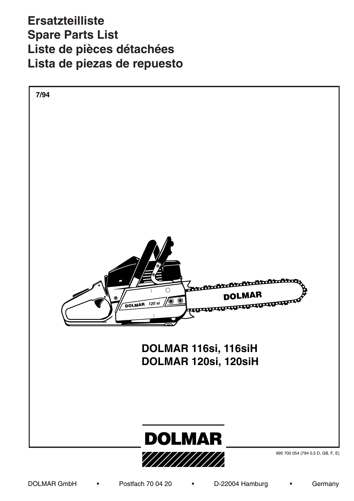$\frac{1}{2}$  $\overline{AB}$ Alterat. Modif. de Anz.  $\boldsymbol{\mathsf{u}}$ Qté. nic **Ersatzteilliste** Teil-Nr. **Liste de pièces détachées** No. de pièce Lista de piezas de repuesto **Spare Parts List** 

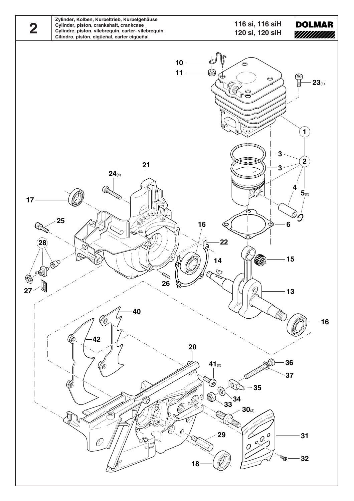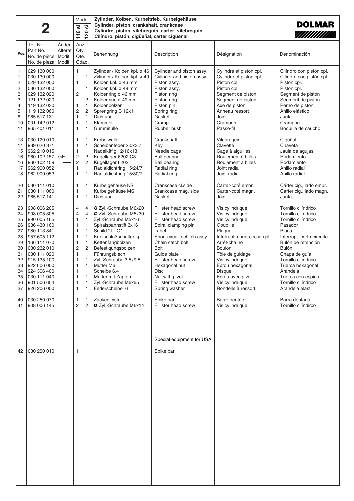|                                                                                                                |                                                                                                                                                                                                                               |                             | Zylinder, Kolben, Kurbeltrieb, Kurbelgehäuse<br>Model<br><b>DOLMAR</b><br>Cylinder, piston, crankshaft, crankcase |                                                                                                                                                                                                                           |                                                                                                                                                                                                                                                                                                                            |                                                                                                                                                                                                                                                                                                   |                                                                                                                                                                                                                                                                        |                                                                                                                                                                                                                                                                                                 |  |
|----------------------------------------------------------------------------------------------------------------|-------------------------------------------------------------------------------------------------------------------------------------------------------------------------------------------------------------------------------|-----------------------------|-------------------------------------------------------------------------------------------------------------------|---------------------------------------------------------------------------------------------------------------------------------------------------------------------------------------------------------------------------|----------------------------------------------------------------------------------------------------------------------------------------------------------------------------------------------------------------------------------------------------------------------------------------------------------------------------|---------------------------------------------------------------------------------------------------------------------------------------------------------------------------------------------------------------------------------------------------------------------------------------------------|------------------------------------------------------------------------------------------------------------------------------------------------------------------------------------------------------------------------------------------------------------------------|-------------------------------------------------------------------------------------------------------------------------------------------------------------------------------------------------------------------------------------------------------------------------------------------------|--|
|                                                                                                                | 2                                                                                                                                                                                                                             |                             | <u>.რ</u><br>116                                                                                                  | ' ග<br>$\overline{20}$                                                                                                                                                                                                    | Cylindre, piston, vilebrequin, carter- vilebrequin<br>Cilíndro, pistón, cigüeñal, carter cigüeñal                                                                                                                                                                                                                          |                                                                                                                                                                                                                                                                                                   |                                                                                                                                                                                                                                                                        | ////////////                                                                                                                                                                                                                                                                                    |  |
| Pos.                                                                                                           | Teil-Nr.<br>Part No.<br>No. de pièce<br>No. de pieza   Modif.                                                                                                                                                                 | Änder.<br>Alterat<br>Modif. | Anz.<br>Qty.<br>Qté.<br>Cdad.                                                                                     |                                                                                                                                                                                                                           | Benennung                                                                                                                                                                                                                                                                                                                  | Description                                                                                                                                                                                                                                                                                       | Désignation                                                                                                                                                                                                                                                            | Denominación                                                                                                                                                                                                                                                                                    |  |
| $\mathbf{1}$<br>$\mathbf{1}$<br>$\overline{\mathbf{c}}$<br>$\overline{c}$<br>3<br>3<br>4<br>5<br>6<br>10<br>11 | 029 130 000<br>030 130 000<br>029 132 000<br>030 132 000<br>029 132 020<br>121 132 020<br>119 132 030<br>119 132 060<br>965 517 131<br>001 142 012<br>965 401 011                                                             |                             | 1<br>1<br>2<br>1<br>2<br>1<br>1<br>1                                                                              | 1<br>$\mathbf{1}$<br>$\overline{c}$<br>$\mathbf{1}$<br>$\overline{c}$<br>1<br>$\mathbf{1}$<br>1                                                                                                                           | Zylinder / Kolben kpl. ø 46<br>Zylinder / Kolben kpl. ø 49<br>Kolben kpl. ø 46 mm<br>Kolben kpl. ø 49 mm<br>Kolbenring ø 46 mm<br>Kolbenring ø 49 mm<br>Kolbenbolzen<br>Sprengring C 12x1<br>Dichtung<br>Klammer<br>Gummitülle                                                                                             | Cylinder and piston assy.<br>Cylinder and piston assy.<br>Piston assy.<br>Piston assy.<br>Piston ring<br>Piston ring<br>Piston pin<br>Spring ring<br>Gasket<br>Cramp<br>Rubber bush                                                                                                               | Cylindre et piston cpl.<br>Cylindre et piston cpl.<br>Piston cpl.<br>Piston cpl.<br>Segment de piston<br>Segment de piston<br>Axe de piston<br>Anneau ressort<br>Joint<br>Crampon<br>Passe-fil                                                                         | Cilíndro con pistón cpl.<br>Cilíndro con pistón cpl.<br>Piston cpl.<br>Piston cpl.<br>Segment de pistón<br>Segment de pistón<br>Perno de pistón<br>Anillo elástico<br>Junta<br>Crampón<br>Boquilla de caucho                                                                                    |  |
| 13<br>14<br>15<br>16<br>16<br>17<br>18                                                                         | 030 120 010<br>939 620 371<br>962 210 015<br>960 102 157<br>960 102 159<br>962 900 052<br>962 900 053                                                                                                                         | GE -                        | 1<br>1<br>1<br>2<br>$\mathsf{2}\,$<br>1<br>1                                                                      | $\mathbf{1}$<br>$\mathbf{1}$<br>$\overline{1}$<br>$\overline{c}$<br>$\overline{c}$<br>$\mathbf{1}$<br>$\mathbf{1}$                                                                                                        | Kurbelwelle<br>Scheibenfeder 2,0x3,7<br>Nadelkäfig 12/16x13<br>Kugellager 6202 C3<br>Kugellager 6202<br>Radialdichtring 15/24/7<br>Radialdichtring 15/30/7                                                                                                                                                                 | Crankshaft<br>Key<br>Needle cage<br><b>Ball bearing</b><br><b>Ball bearing</b><br>Radial ring<br>Radial ring                                                                                                                                                                                      | Vilebrequin<br>Clavette<br>Cage à aiguilles<br>Roulement à billes<br>Roulement à billes<br>Joint radial<br>Joint radial                                                                                                                                                | Cigüñal<br>Chaveta<br>Jaula de agujas<br>Rodamiento<br>Rodamiento<br>Anillo radial<br>Anillo radial                                                                                                                                                                                             |  |
| 20<br>21<br>22                                                                                                 | 030 111 010<br>030 111 060<br>965 517 141                                                                                                                                                                                     |                             | 1<br>1<br>1                                                                                                       | $\mathbf{1}$<br>$\mathbf{1}$<br>$\mathbf{1}$                                                                                                                                                                              | Kurbelgehäuse KS<br>Kurbelgehäuse MS<br>Dichtung                                                                                                                                                                                                                                                                           | Crankcase cl.side<br>Crankcase mag. side<br>Gasket                                                                                                                                                                                                                                                | Carter-coté embr.<br>Carter-coté magn.<br>Joint                                                                                                                                                                                                                        | Cárter cig., lado embr.<br>Cárter cig,. lado magn.<br>Junta                                                                                                                                                                                                                                     |  |
| 23<br>24<br>25<br>26<br>27<br>28<br>29<br>30<br>31<br>32<br>33<br>34<br>35<br>36<br>37                         | 908 006 205<br>908 005 305<br>990 005 165<br>936 430 160<br>980 113 841<br>957 605 112<br>166 111 070<br>030 232 010<br>030 111 020<br>915 135 100<br>922 606 000<br>924 306 400<br>030 111 040<br>901 506 654<br>926 206 000 |                             | 4<br>4<br>1<br>1<br>1<br>1<br>1<br>2<br>1<br>1<br>1<br>1<br>1<br>1<br>1.                                          | 4<br>4<br>$\mathbf{1}$<br>$\mathbf{1}$<br>$\mathbf{1}$<br>$\mathbf{1}$<br>$\mathbf{1}$<br>$\overline{c}$<br>$\mathbf{1}$<br>$\overline{1}$<br>$\mathbf{1}$<br>$\mathbf{1}$<br>$\mathbf{1}$<br>$\mathbf 1$<br>$\mathbf{1}$ | O Zyl.-Schraube M6x20<br>O Zyl.-Schraube M5x30<br>Zyl.-Schraube M5x16<br>Spiralspannstift 3x16<br>Schild " I - O"<br>Kurzschlußschalter kpl.<br>Kettenfangbolzen<br>Befestigungsbolzen<br>Führungsblech<br>Zyl.-Schraube 3,5x9,5<br>Mutter M6<br>Scheibe 6,4<br>Mutter mit Zapfen<br>Zyl.-Schraube M6x65<br>Federscheibe 6 | Fillister head screw<br>Fillister head screw<br>Fillister head screw<br>Spiral clamping pin<br>Label<br>Short-circuit schitch assy.<br>Chain catch bolt<br><b>Bolt</b><br>Guide plate<br>Fillister head screw<br>Hexagonal nut<br>Disc<br>Nut with pivot<br>Fillister head screw<br>Spring washer | Vis cylindrique<br>Vis cylindrique<br>Vis cylindrique<br>Goupille<br>Plaque<br>Interrupt. court-circuit cpl.<br>Arrêt-chaîne<br>Boulon<br>Tôle de guidage<br>Vis cylindrique<br>Ecrou hexagonal<br>Disque<br>Ecrou avec pivot<br>Vis cylindrique<br>Rondelle à ressort | Tornillo cilíndrico<br>Tornillo cilíndrico<br>Tornillo cilíndrico<br>Pasador<br>Placa<br>Interrupt. corto-circuite<br>Bulón de retención<br><b>Bulón</b><br>Chapa de guía<br>Tornillo cilíndrico<br>Tuerca hexagonal<br>Arandela<br>Tuerca con espiga<br>Tornillo cilíndrico<br>Arandela elást. |  |
| 40<br>41                                                                                                       | 030 250 070<br>908 006 145                                                                                                                                                                                                    |                             | 1<br>2                                                                                                            | $\overline{1}$<br>$\overline{2}$                                                                                                                                                                                          | Zackenleiste<br>O Zyl.-Schraube M6x14                                                                                                                                                                                                                                                                                      | Spike bar<br>Fillister head screw                                                                                                                                                                                                                                                                 | Barre dentée<br>Vis cylindrique                                                                                                                                                                                                                                        | Barra dentada<br>Tornillo cilíndirco                                                                                                                                                                                                                                                            |  |
| 42                                                                                                             | 030 250 010                                                                                                                                                                                                                   |                             | 1                                                                                                                 | $\mathbf{1}$                                                                                                                                                                                                              |                                                                                                                                                                                                                                                                                                                            | Special equipment for USA<br>Spike bar                                                                                                                                                                                                                                                            |                                                                                                                                                                                                                                                                        |                                                                                                                                                                                                                                                                                                 |  |
|                                                                                                                |                                                                                                                                                                                                                               |                             |                                                                                                                   |                                                                                                                                                                                                                           |                                                                                                                                                                                                                                                                                                                            |                                                                                                                                                                                                                                                                                                   |                                                                                                                                                                                                                                                                        |                                                                                                                                                                                                                                                                                                 |  |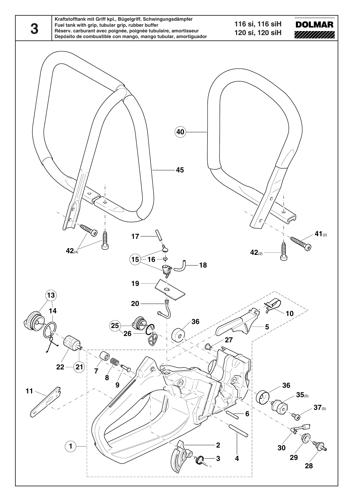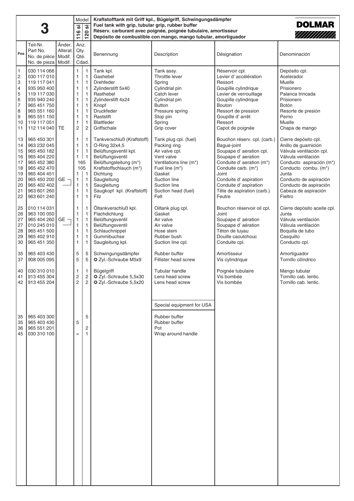|                                                                                                     |                                                                                                                                                                   |                   | .<br>ທີ<br>116                                                                                                                     | Model<br>$\overline{20}$                                                                                                                  | Fuel tank with grip, tubular grip, rubber buffer                                                                                                                                                                                     | Kraftstofftank mit Griff kpl., Bügelgriff, Schwingungsdämpfer<br>Réserv. carburant avec poignée, poignée tubulaire, amortisseur                                                            |                                                                                                                                                                                                                                                         | <b>DOLMAR</b><br>////////////                                                                                                                                                                                                                                    |
|-----------------------------------------------------------------------------------------------------|-------------------------------------------------------------------------------------------------------------------------------------------------------------------|-------------------|------------------------------------------------------------------------------------------------------------------------------------|-------------------------------------------------------------------------------------------------------------------------------------------|--------------------------------------------------------------------------------------------------------------------------------------------------------------------------------------------------------------------------------------|--------------------------------------------------------------------------------------------------------------------------------------------------------------------------------------------|---------------------------------------------------------------------------------------------------------------------------------------------------------------------------------------------------------------------------------------------------------|------------------------------------------------------------------------------------------------------------------------------------------------------------------------------------------------------------------------------------------------------------------|
|                                                                                                     |                                                                                                                                                                   |                   |                                                                                                                                    | $\blacksquare$                                                                                                                            |                                                                                                                                                                                                                                      | Depósito de combustible con mango, mango tubular, amortiguador                                                                                                                             |                                                                                                                                                                                                                                                         |                                                                                                                                                                                                                                                                  |
| Pos.                                                                                                | Teil-Nr.<br>Part No.<br>No. de pièce   Modif.<br>No. de pieza   Modif.                                                                                            | Änder.<br>Alterat | Anz.<br>Qty.<br>Qté.                                                                                                               | Cdad.                                                                                                                                     | Benennung                                                                                                                                                                                                                            | Description                                                                                                                                                                                | Désignation                                                                                                                                                                                                                                             | Denominación                                                                                                                                                                                                                                                     |
| $\mathbf{1}$<br>$\overline{\mathbf{c}}$<br>3<br>4<br>5<br>6<br>$\overline{7}$<br>8<br>9<br>10<br>11 | 030 114 066<br>030 117 010<br>119 117 041<br>935 950 400<br>119 117 030<br>935 940 240<br>965 451 750<br>965 551 160<br>965 551 150<br>119 117 051<br>112 114 040 | <b>TE</b>         | 1<br>$\mathbf{1}$<br>1<br>$\mathbf{1}$<br>$\mathbf{1}$<br>$\mathbf{1}$<br>$\mathbf{1}$<br>1<br>1<br>$\mathbf{1}$<br>$\overline{c}$ | 1<br>$\mathbf{1}$<br>1<br>1<br>$\mathbf{1}$<br>1<br>$\mathbf{1}$<br>1<br>$\mathbf{1}$<br>$\mathbf{1}$<br>$\overline{2}$                   | Tank kpl.<br>Gashebel<br><b>Drehfeder</b><br>Zylinderstift 5x40<br>Rasthebel<br>Zylinderstift 4x24<br>Knopf<br>Druckfeder<br>Raststift<br><b>Blattfeder</b><br>Griffschale                                                           | Tank assy.<br>Throttle lever<br>Spring<br>Cylindrial pin<br>Catch lever<br>Cylindrial pin<br><b>Button</b><br>Pressure spring<br>Stop pin<br>Spring<br>Grip cover                          | Réservoir cpl.<br>Levier d'accélération<br>Ressort<br>Goupille cylindrique<br>Levier de verrouillage<br>Goupille cylindrique<br><b>Bouton</b><br>Ressort de pression<br>Goupille d'arrêt<br>Ressort<br>Capot de poignée                                 | Depósito cpl.<br>Acelerador<br>Muelle<br>Prisionero<br>Palanca trincada<br>Prisionero<br><b>Botón</b><br>Resorte de presión<br>Perno<br>Muelle<br>Chapa de mango                                                                                                 |
| 13<br>14<br>15<br>16<br>17<br>18<br>19<br>20<br>20<br>21<br>22                                      | 965 450 301<br>963 232 045<br>965 450 182<br>965 404 220<br>965 452 380<br>965 452 470<br>965 404 451<br>965 450 200<br>965 402 402<br>963 601 260<br>963 601 240 | $GE -$            | 1<br>1<br>1<br>$\mathbf{1}$<br>165<br>105<br>$\mathbf{1}$<br>$\mathbf{1}$<br>$\mathbf{1}$<br>1<br>$\mathbf{1}$                     | 1<br>$\mathbf{1}$<br>$\overline{1}$<br>$\overline{1}$<br>$\overline{1}$<br>$\overline{1}$<br>$\mathbf{1}$<br>$\mathbf{1}$<br>$\mathbf{1}$ | Tankverschluß (Kraftstoff)<br>O-Ring 32x4,5<br>Belüftungsventil kpl.<br>Belüftungsventil<br>Belüftungsleitung (m*)<br>Kraftstoffschlauch (m*)<br>Dichtung<br>Saugleitung<br>Saugleitung<br>Saugkopf kpl. (Kraftstoff)<br><b>Filz</b> | Tank plug cpl. (fuel)<br>Packing ring<br>Air valve cpl.<br>Vent valve<br>Ventilations line (m*)<br>Fuel line (m*)<br>Gasket<br>Suction line<br>Suction line<br>Suction head (fuel)<br>Felt | Bouchon réserv. cpl. (carb.)<br>Bague-joint<br>Soupape d' aeration cpl.<br>Soupape d' aeration<br>Conduite d' aeration (m*)<br>Conduite carb. (m*)<br>Joint<br>Conduite d' aspiration<br>Conduite d' aspiration<br>Tête de aspiration (carb.)<br>Feutre | Cierre depósito cpl.<br>Anillo de guarnición<br>Válvula ventilación cpl.<br>Válvula ventilación<br>Conducto aspiración (m*)<br>Conducto combu. (m <sup>*</sup> )<br>Junta<br>Conducto de aspiración<br>Conducto de aspiración<br>Cabeza de aspiración<br>Fieltro |
| 25<br>26<br>27<br>27<br>28<br>29<br>30                                                              | 010 114 031<br>963 100 050<br>965 404 260<br>010 245 010<br>965 451 500<br>965 402 910<br>965 451 350                                                             | $GE -$            | $\mathbf{1}$<br>$\mathbf{1}$<br>$\mathbf{1}$<br>1<br>1<br>$\mathbf{1}$<br>$\mathbf{1}$                                             | 1<br>$\mathbf{1}$<br>$\overline{1}$<br>$\overline{1}$<br>$\mathbf{1}$<br>1<br>1                                                           | Öltankverschluß kpl.<br>Flachdichtung<br>Belüftungsventil<br>Belüftungsventil<br>Schlauchnippel<br>Gummibuchse<br>Saugleitung kpl.                                                                                                   | Oiltank plug cpl.<br>Gasket<br>Air valve<br>Air valve<br>Hose stem<br>Rubber bush<br>Suction line cpl.                                                                                     | Bouchon réservoir oil cpl.<br>Joint<br>Soupape d'aération<br>Soupape d'aération<br>Têton de tuyau<br>Douille caoutchouc<br>Conduite cpl.                                                                                                                | Cierre depósito aceite cpl.<br>Junta<br>Válvula ventilación<br>Válvula ventilación<br>Boquilla de tubo<br>Casquillo<br>Conducto cpl.                                                                                                                             |
| 35<br>37                                                                                            | 965 403 430<br>908 005 095                                                                                                                                        |                   | 5<br>5                                                                                                                             | 5<br>5                                                                                                                                    | Schwingungsdämpfer<br>O Zyl.-Schraube M5x9                                                                                                                                                                                           | Rubber buffer<br>Fillister head screw                                                                                                                                                      | Amortisseur<br>Vis cylindrique                                                                                                                                                                                                                          | Amortiguador<br>Tornillo cilíndrico                                                                                                                                                                                                                              |
| 40<br>41                                                                                            | 030 310 010<br>913 455 304<br>42   913 455 204                                                                                                                    |                   | $\mathbf{1}$<br>$\sqrt{2}$<br>2                                                                                                    | $\mathbf{1}$<br>$\mathbf 2$<br>2                                                                                                          | <b>Bügelgriff</b><br>C Zyl.-Schraube 5,5x30<br>2 Zyl.-Schraube 5,5x20                                                                                                                                                                | Tubular handle<br>Lens head screw<br>Lens head screw                                                                                                                                       | Poignée tubulaire<br>Vis bombée<br>Vis bombée                                                                                                                                                                                                           | Mango tubular<br>Tornillo cab. lentic.<br>Tornillo cab. lentic.                                                                                                                                                                                                  |
| 35<br>35<br>36<br>45                                                                                | 965 403 300<br>965 403 430<br>965 551 201<br>030 310 100                                                                                                          |                   | 5<br>$=$                                                                                                                           | 5<br>2<br>1                                                                                                                               |                                                                                                                                                                                                                                      | Special equipment for USA<br>Rubber buffer<br>Rubber buffer<br>Pot<br>Wrap around handle                                                                                                   |                                                                                                                                                                                                                                                         |                                                                                                                                                                                                                                                                  |
|                                                                                                     |                                                                                                                                                                   |                   |                                                                                                                                    |                                                                                                                                           |                                                                                                                                                                                                                                      |                                                                                                                                                                                            |                                                                                                                                                                                                                                                         |                                                                                                                                                                                                                                                                  |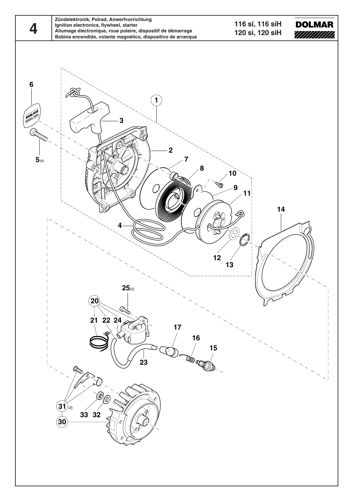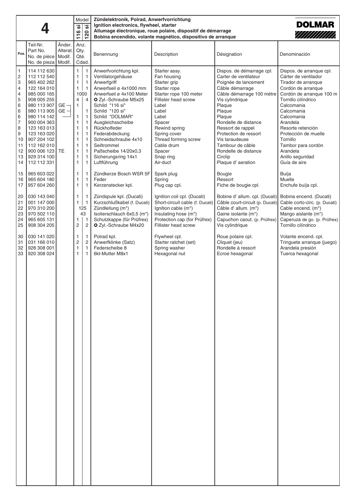|                                                                                                                         |                                                                                                                                                                                                                                                                | Model<br><u>'ග</u><br><b>.</b><br>116<br>20<br>$\blacksquare$ |                                                                                                                  | Zündelektronik, Polrad, Anwerfvorrichtung<br>Ignition electronics, flywheel, starter<br>Allumage électronique, roue polaire, dispositif de démarrage<br>Bobina encendido, volante magnético, dispositivo de arranque                                       | <b>DOLMAR</b><br>////////////                                                                                                                                                                                                                                                                                                                                 |                                                                                                                                                                                                                                                               |                                                                                                                                                                                                                                                                                                                                                  |                                                                                                                                                                                                                                                                                                                                       |
|-------------------------------------------------------------------------------------------------------------------------|----------------------------------------------------------------------------------------------------------------------------------------------------------------------------------------------------------------------------------------------------------------|---------------------------------------------------------------|------------------------------------------------------------------------------------------------------------------|------------------------------------------------------------------------------------------------------------------------------------------------------------------------------------------------------------------------------------------------------------|---------------------------------------------------------------------------------------------------------------------------------------------------------------------------------------------------------------------------------------------------------------------------------------------------------------------------------------------------------------|---------------------------------------------------------------------------------------------------------------------------------------------------------------------------------------------------------------------------------------------------------------|--------------------------------------------------------------------------------------------------------------------------------------------------------------------------------------------------------------------------------------------------------------------------------------------------------------------------------------------------|---------------------------------------------------------------------------------------------------------------------------------------------------------------------------------------------------------------------------------------------------------------------------------------------------------------------------------------|
| Pos.                                                                                                                    | Teil-Nr.<br>Part No.<br>No. de pièce<br>No. de pieza   Modif.                                                                                                                                                                                                  | Änder.<br>Alterat.<br>Modif.                                  | Anz.<br>Qty.<br>Qté.<br>Cdad.                                                                                    |                                                                                                                                                                                                                                                            | Benennung                                                                                                                                                                                                                                                                                                                                                     | Description                                                                                                                                                                                                                                                   | Désignation                                                                                                                                                                                                                                                                                                                                      | Denominación                                                                                                                                                                                                                                                                                                                          |
| $\mathbf{1}$<br>$\overline{\mathbf{c}}$<br>3<br>4<br>4<br>5<br>6<br>6<br>6<br>7<br>8<br>9<br>10<br>11<br>12<br>13<br>14 | 114 112 630<br>112 112 540<br>965 402 262<br>122 164 010<br>985 000 165<br>908 005 255<br>980 113 907<br>980 113 905<br>980 114 142<br>900 004 363<br>123 163 013<br>123 163 020<br>907 204 102<br>112 162 010<br>900 006 123 TE<br>929 314 100<br>112 112 331 | GE-<br>$GE -$                                                 | $\mathbf{1}$<br>1<br>1<br>1<br>1000<br>4<br>1<br>1<br>$\mathbf{1}$<br>1<br>1<br>1<br>1<br>$\mathbf{1}$<br>1<br>1 | $\mathbf{1}$<br>$\overline{1}$<br>$\overline{1}$<br>$\overline{1}$<br>$\overline{4}$<br>$\mathbf{1}$<br>$\overline{1}$<br>$\mathbf{1}$<br>$\overline{1}$<br>$\mathbf{1}$<br>$\mathbf{1}$<br>$\overline{1}$<br>$\mathbf{1}$<br>$\mathbf{1}$<br>$\mathbf{1}$ | Anwerfvorichtung kpl.<br>Ventilatorgehäuse<br>Anwerfgriff<br>Anwerfseil ø 4x1000 mm<br>Anwerfseil ø 4x100 Meter<br>O Zyl.-Schraube M5x25<br>Schild "116 si"<br>Schild "120 si"<br>Schild "DOLMAR"<br>Ausgleichsscheibe<br>Rückholfeder<br>Federabdeckung<br>Schneidschraube 4x10<br>Seiltrommel<br>Paßscheibe 14/20x0,3<br>Sicherungsring 14x1<br>Luftführung | Starter assy.<br>Fan housing<br>Starter grip<br>Starter rope<br>Starter rope 100 meter<br>Fillister head screw<br>Label<br>Label<br>Label<br>Spacer<br>Rewind spring<br>Spring cover<br>Thread forming screw<br>Cable drum<br>Spacer<br>Snap ring<br>Air-duct | Dispos. de démarrage cpl.<br>Carter de ventilateur<br>Poignée de lancement<br>Câble démarrage<br>Câble démarrage 100 mètre<br>Vis cylindrique<br>Plaque<br>Plaque<br>Plaque<br>Rondelle de distance<br>Ressort de rappel<br>Protection de ressort<br>Vis taraudeuse<br>Tambour de câble<br>Rondelle de distance<br>Circlip<br>Plaque d' aeration | Dispos. de arranque cpl.<br>Cárter de ventilador<br>Tirador de arranque<br>Cordón de arranque<br>Cordón de arranque 100 m<br>Tornillo cilíndrico<br>Calcomania<br>Calcomania<br>Calcomania<br>Arandela<br>Resorte retención<br>Protección de muelle<br>Tornillo<br>Tambor para cordón<br>Arandela<br>Anillo seguridad<br>Guía de aire |
| 15<br>16<br>17                                                                                                          | 965 603 022<br>965 604 180<br>957 604 260                                                                                                                                                                                                                      |                                                               | 1<br>1<br>$\mathbf{1}$                                                                                           | $\overline{1}$<br>$\mathbf{1}$<br>$\mathbf{1}$                                                                                                                                                                                                             | Zündkerze Bosch WSR 5F<br>Feder<br>Kerzenstecker kpl.                                                                                                                                                                                                                                                                                                         | Spark plug<br>Spring<br>Plug cap cpl.                                                                                                                                                                                                                         | Bougie<br>Ressort<br>Fiche de bougie cpl.                                                                                                                                                                                                                                                                                                        | Buíja<br>Muelle<br>Enchufe buíja cpl.                                                                                                                                                                                                                                                                                                 |
| 20<br>21<br>22<br>23<br>24<br>25                                                                                        | 030 143 040<br>001 147 000<br>970 310 200<br>970 502 110<br>965 605 131<br>908 304 205                                                                                                                                                                         |                                                               | 1<br>1<br>1<br>2                                                                                                 | $\overline{1}$<br>$\overline{1}$<br>125<br>43<br>$\overline{1}$<br>$\overline{c}$                                                                                                                                                                          | Zündspule kpl. (Ducati)<br>Kurzschlußkabel (f. Ducati)<br>Zündleitung (m*)<br>Isolierschlauch 6x0,5 (m*)<br>Schutzkappe (für Prüfrex)<br>O Zyl.-Schraube M4x20                                                                                                                                                                                                | Ignition coil cpl. (Ducati)<br>Short-circuit cable (f. Ducati)<br>Ignition cable (m*)<br>Insulating hose (m*)<br>Protection cap (for Prüfrex)<br>Fillister head screw                                                                                         | Bobine d' allum. cpl. (Ducati)<br>Câble court-circuit (p. Ducati)<br>Câble d' allum. (m*)<br>Gaine isolante (m*)<br>Capuchon caout. (p. Prüfrex)<br>Vis cylindrique                                                                                                                                                                              | Bobina encend. (Ducati)<br>Cable corto-circ. (p. Ducati)<br>Cable encend. (m*)<br>Mango aislante (m*)<br>Caperuza de go. (p. Prüfrex)<br>Tornillo cilíndrico                                                                                                                                                                          |
| 30<br>31<br>32<br>33                                                                                                    | 030 141 020<br>031 166 010<br>928 308 001<br>920 308 024                                                                                                                                                                                                       |                                                               | 1<br>$\overline{\mathbf{c}}$<br>$\mathbf{1}$                                                                     | $\overline{1}$<br>$\overline{c}$<br>$\overline{1}$<br>$\mathbf{1}$                                                                                                                                                                                         | Polrad kpl.<br>Anwerfklinke (Satz)<br>Federscheibe 8<br>6kt-Mutter M8x1                                                                                                                                                                                                                                                                                       | Flywheel cpl.<br>Starter ratchet (set)<br>Spring washer<br>Hexagonal nut                                                                                                                                                                                      | Roue polaire cpl.<br>Cliquet (jeu)<br>Rondelle á ressort<br>Ecroe hexagonal                                                                                                                                                                                                                                                                      | Volante encend. cpl.<br>Tringuete arranque (juego)<br>Arandela presión<br>Tuerca hexagonal                                                                                                                                                                                                                                            |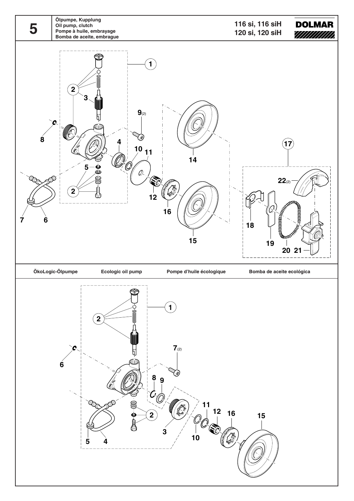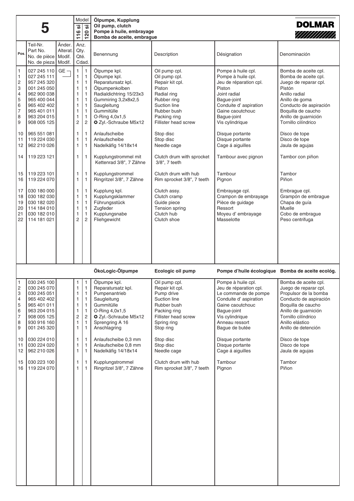|                                                                                                                                         | 5                                                                                                                                                                                               |                              | <u>.რ</u><br>116                                              | Model<br><u>'ග</u><br>120                                                                                                                                                                                      | Ölpumpe, Kupplung<br>Oil pump, clutch<br>Pompe à huile, embrayage<br>Bomba de aceite, embrague                                                                                                                                                          |                                                                                                                                                                                                           |                                                                                                                                                                                                                                                       | <b>DOLMAR</b><br>7///////////                                                                                                                                                                                                                                          |
|-----------------------------------------------------------------------------------------------------------------------------------------|-------------------------------------------------------------------------------------------------------------------------------------------------------------------------------------------------|------------------------------|---------------------------------------------------------------|----------------------------------------------------------------------------------------------------------------------------------------------------------------------------------------------------------------|---------------------------------------------------------------------------------------------------------------------------------------------------------------------------------------------------------------------------------------------------------|-----------------------------------------------------------------------------------------------------------------------------------------------------------------------------------------------------------|-------------------------------------------------------------------------------------------------------------------------------------------------------------------------------------------------------------------------------------------------------|------------------------------------------------------------------------------------------------------------------------------------------------------------------------------------------------------------------------------------------------------------------------|
| Pos.                                                                                                                                    | Teil-Nr.<br>Part No.<br>No. de pièce<br>No. de pieza   Modif.                                                                                                                                   | Änder.<br>Alterat.<br>Modif. | Anz.<br>Qty.<br>Qté.                                          | Cdad.                                                                                                                                                                                                          | Benennung                                                                                                                                                                                                                                               | Description                                                                                                                                                                                               | Désignation                                                                                                                                                                                                                                           | Denominación                                                                                                                                                                                                                                                           |
| $\mathbf{1}$<br>$\mathbf{1}$<br>$\overline{c}$<br>3<br>$\overline{\mathcal{L}}$<br>5<br>6<br>$\overline{7}$<br>8<br>9<br>10<br>11<br>12 | 027 245 110<br>027 245 111<br>957 245 320<br>001 245 050<br>962 900 038<br>965 400 044<br>965 402 402<br>965 401 011<br>963 204 015<br>908 005 125<br>965 551 081<br>119 224 030<br>962 210 026 | $GE -$                       | 1<br>1<br>1<br>1<br>1<br>1<br>1<br>1<br>1<br>2<br>1<br>1<br>1 | $\mathbf{1}$<br>$\mathbf{1}$<br>$\mathbf{1}$<br>$\mathbf{1}$<br>$\mathbf{1}$<br>$\mathbf{1}$<br>$\mathbf{1}$<br>$\mathbf{1}$<br>$\mathbf{1}$<br>$\overline{c}$<br>$\mathbf{1}$<br>$\mathbf{1}$<br>$\mathbf{1}$ | Ölpumpe kpl.<br>Ölpumpe kpl.<br>Reparatursatz kpl.<br>Ölpumpenkolben<br>Radialdichtring 15/23x3<br>Gummiring 3,2x8x2,5<br>Saugleitung<br>Gummitülle<br>O-Ring 4,0x1,5<br>O Zyl.-Schraube M5x12<br>Anlaufscheibe<br>Anlaufscheibe<br>Nadelkäfig 14/18x14 | Oil pump cpl.<br>Oil pump cpl.<br>Repair kit cpl.<br>Piston<br>Radial ring<br>Rubber ring<br>Suction line<br>Rubber bush<br>Packing ring<br>Fillister head screw<br>Stop disc<br>Stop disc<br>Needle cage | Pompe à huile cpl.<br>Pompe à huile cpl.<br>Jeu de réparation cpl.<br>Piston<br>Joint radial<br>Bague-joint<br>Conduite d' aspiration<br>Gaine caoutchouc<br>Bague-joint<br>Vis cylindrique<br>Disque portante<br>Disque portante<br>Cage á aiguilles | Bomba de aceite cpl.<br>Bomba de aceite cpl.<br>Juego de reparar cpl.<br>Pistón<br>Anillo radial<br>Anillo de goma<br>Conducto de aspiración<br>Boquilla de caucho<br>Anillo de guarnición<br>Tornillo cilíndrico<br>Disco de tope<br>Disco de tope<br>Jaula de agujas |
| 14                                                                                                                                      | 119 223 121                                                                                                                                                                                     |                              | 1                                                             | $\mathbf{1}$                                                                                                                                                                                                   | Kupplungstrommel mit<br>Kettenrad 3/8", 7 Zähne                                                                                                                                                                                                         | Clutch drum with sprocket<br>3/8", 7 teeth                                                                                                                                                                | Tambour avec pignon                                                                                                                                                                                                                                   | Tambor con piñon                                                                                                                                                                                                                                                       |
| 15<br>16<br>17<br>18<br>19<br>20<br>21<br>22                                                                                            | 119 223 101<br>119 224 070<br>030 180 000<br>030 182 030<br>030 182 020<br>114 184 010<br>030 182 010<br>114 181 021                                                                            |                              | 1<br>1<br>1<br>1<br>1<br>1<br>1<br>2                          | $\mathbf{1}$<br>$\mathbf{1}$<br>$\mathbf{1}$<br>$\mathbf{1}$<br>$\mathbf{1}$<br>$\mathbf{1}$<br>$\mathbf{1}$<br>$\overline{c}$                                                                                 | Kupplungstrommel<br>Ringritzel 3/8", 7 Zähne<br>Kupplung kpl.<br>Kupplungsklammer<br>Führungsstück<br>Zugfeder<br>Kupplungsnabe<br>Fliehgewicht                                                                                                         | Clutch drum with hub<br>Rim sprocket 3/8", 7 teeth<br>Clutch assy.<br>Clutch cramp<br>Guide piece<br>Tension spring<br>Clutch hub<br>Clutch shoe                                                          | Tambour<br>Pignon<br>Embrayage cpl.<br>Crampon de embrayage<br>Pièce de guidage<br>Ressort<br>Moyeu d'embrayage<br>Masselotte                                                                                                                         | Tambor<br>Piñon<br>Embrague cpl.<br>Grampón de embrague<br>Chapa de guía<br>Muelle<br>Cobo de embrague<br>Peso centrifuga                                                                                                                                              |
|                                                                                                                                         |                                                                                                                                                                                                 |                              |                                                               |                                                                                                                                                                                                                | ÖkoLogic-Ölpumpe                                                                                                                                                                                                                                        | Ecologic oil pump                                                                                                                                                                                         | Pompe d'huile écologique Bomba de aceite ecológ.                                                                                                                                                                                                      |                                                                                                                                                                                                                                                                        |
| $\overline{c}$<br>3<br>4<br>5<br>6<br>7<br>8<br>9<br>10<br>11<br>12                                                                     | 030 245 100<br>030 245 070<br>030 245 051<br>965 402 402<br>965 401 011<br>963 204 015<br>908 005 125<br>930 916 160<br>001 245 320<br>030 224 010<br>030 224 020<br>962 210 026                |                              | 1<br>1<br>1<br>1<br>1<br>1<br>2<br>1<br>1<br>1<br>1<br>1      | 1<br>$\mathbf{1}$<br>$\mathbf{1}$<br>$\mathbf{1}$<br>$\mathbf{1}$<br>$\mathbf{1}$<br>$\sqrt{2}$<br>$\mathbf{1}$<br>1<br>$\mathbf{1}$<br>$\mathbf{1}$<br>$\mathbf{1}$                                           | Olpumpe kpl.<br>Reparatursatz kpl.<br>Pumpenantrieb<br>Saugleitung<br>Gummitülle<br>O-Ring 4,0x1,5<br>O Zyl.-Schraube M5x12<br>Sprengring A 16<br>Anschlagring<br>Anlaufscheibe 0,3 mm<br>Anlaufscheibe 0,8 mm<br>Nadelkäfig 14/18x14                   | Oil pump cpl.<br>Repair kit cpl.<br>Pump drive<br>Suction line<br>Rubber bush<br>Packing ring<br>Fillister head screw<br>Spring ring<br>Stop ring<br>Stop disc<br>Stop disc<br>Needle cage                | Pompe à huile cpl.<br>Jeu de réparation cpl.<br>Le commande de pompe<br>Conduite d' aspiration<br>Gaine caoutchouc<br>Baque-joint<br>Vis cylindrique<br>Anneau ressort<br>Bague de butée<br>Disque portante<br>Disque portante<br>Cage á aiguilles    | Bomba de aceite cpl.<br>Juego de reparar cpl.<br>Propulsor de la bomba<br>Conducto de aspiración<br>Boquilla de caucho<br>Anillo de guarnición<br>Tornillo cilíndrico<br>Anillo elástico<br>Anillo de detención<br>Disco de tope<br>Disco de tope<br>Jaula de agujas   |
| 15<br>16                                                                                                                                | 030 223 100<br>119 224 070                                                                                                                                                                      |                              | 1<br>1                                                        | $\mathbf{1}$<br>$\mathbf{1}$                                                                                                                                                                                   | Kupplungstrommel<br>Ringritzel 3/8", 7 Zähne                                                                                                                                                                                                            | Clutch drum with hub<br>Rim sprocket 3/8", 7 teeth                                                                                                                                                        | Tambour<br>Pignon                                                                                                                                                                                                                                     | Tambor<br>Piñon                                                                                                                                                                                                                                                        |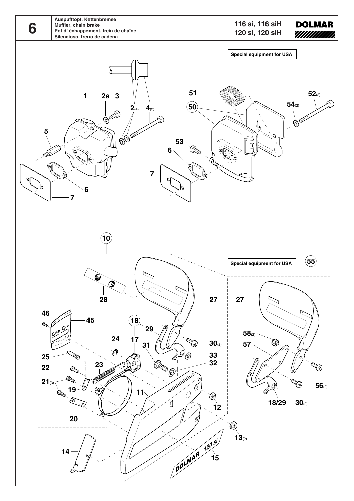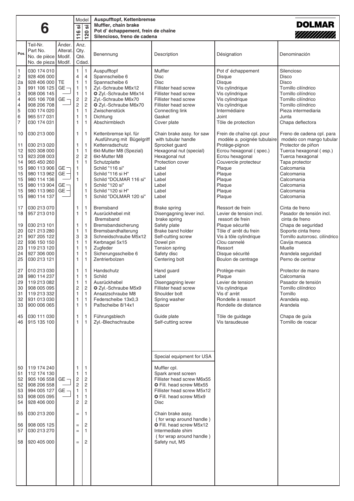|                                                                                        | 6                                                                                                                                                                 |                                               | .<br>ທີ<br>116                                                                       | Model<br>$\overline{\overline{\overline{\overline{}}}}$<br>$\overline{\mathbf{S}}$<br>$\blacksquare$                                                                                         | <b>Auspufftopf, Kettenbremse</b><br>Muffler, chain brake<br>Pot d'échappement, frein de chaîne<br>Silencioso, freno de cadena                                                                                                                |                                                                                                                                                                                                         |                                                                                                                                                                                                              | <b>DOLMAR</b><br>////////////                                                                                                                                                                                    |  |
|----------------------------------------------------------------------------------------|-------------------------------------------------------------------------------------------------------------------------------------------------------------------|-----------------------------------------------|--------------------------------------------------------------------------------------|----------------------------------------------------------------------------------------------------------------------------------------------------------------------------------------------|----------------------------------------------------------------------------------------------------------------------------------------------------------------------------------------------------------------------------------------------|---------------------------------------------------------------------------------------------------------------------------------------------------------------------------------------------------------|--------------------------------------------------------------------------------------------------------------------------------------------------------------------------------------------------------------|------------------------------------------------------------------------------------------------------------------------------------------------------------------------------------------------------------------|--|
| Pos.                                                                                   | Teil-Nr.<br>Part No.<br>No. de pièce<br>No. de pieza   Modif.                                                                                                     | Änder.<br>Alterat.<br>Modif.                  | Anz.<br>Qty.<br>Qté.                                                                 | Cdad.                                                                                                                                                                                        | Benennung                                                                                                                                                                                                                                    | Description                                                                                                                                                                                             | Désignation                                                                                                                                                                                                  | Denominación                                                                                                                                                                                                     |  |
| $\mathbf{1}$<br>$\sqrt{2}$<br>2a<br>3<br>3<br>4<br>4<br>5<br>6<br>$\overline{7}$<br>10 | 030 174 010<br>928 406 000<br>928 406 000<br>991 106 125<br>908 006 145<br>905 106 708<br>908 206 708<br>030 174 020<br>965 517 031<br>030 174 031<br>030 213 000 | TE<br>$GE -$<br>$GE -$                        | 1<br>4<br>1<br>1<br>$\mathbf{1}$<br>$\sqrt{2}$<br>$\overline{c}$<br>1<br>1<br>1<br>1 | $\mathbf{1}$<br>$\overline{\mathcal{L}}$<br>$\mathbf{1}$<br>$\mathbf{1}$<br>$\mathbf{1}$<br>$\overline{c}$<br>$\overline{c}$<br>$\mathbf{1}$<br>$\mathbf{1}$<br>$\mathbf{1}$<br>$\mathbf{1}$ | Auspufftopf<br>Spannscheibe 6<br>Spannscheibe 6<br>Zyl.-Schraube M6x12<br>2 Zyl.-Schraube M6x14<br>Zyl.-Schraube M6x70<br>2 Zyl.-Schraube M6x70<br>Zwischenstück<br>Dichtung<br>Abschirmblech<br>Kettenbremse kpl. für                       | Muffler<br>Disc<br><b>Disc</b><br>Fillister head screw<br>Fillister head screw<br>Fillister head screw<br>Fillister head screw<br>Connecting link<br>Gasket<br>Cover plate<br>Chain brake assy. for saw | Pot d'échappement<br><b>Disque</b><br><b>Disque</b><br>Vis cylindrique<br>Vis cylindrique<br>Vis cylindrique<br>Vis cylindrique<br>Intermédiaire<br>Joint<br>Tôle de protection<br>Frein de chaîne cpl. pour | Silencioso<br>Disco<br><b>Disco</b><br>Tornillo cilíndrico<br>Tornillo cilíndrico<br>Tornillo cilíndrico<br>Tornillo cilíndrico<br>Pieza intermediaria<br>Junta<br>Chapa deflectora<br>Freno de cadena cpl. para |  |
| 11<br>12<br>13<br>14<br>15<br>15<br>15<br>15<br>15<br>15                               | 030 213 020<br>920 308 000<br>923 208 003<br>965 450 260<br>980 113 906<br>980 113 962<br>980 114 136<br>980 113 904<br>980 113 960<br>980 114 137                | GE <sup>-</sup><br>$GE -$<br>$GE -$<br>$GE -$ | 1<br>1<br>2<br>1<br>1<br>1<br>$\mathbf{1}$                                           | $\mathbf{1}$<br>$\mathbf{1}$<br>$\overline{c}$<br>$\mathbf{1}$<br>1<br>$\mathbf{1}$<br>$\mathbf{1}$                                                                                          | Ausführung mit Bügelgriff<br>Kettenradschutz<br>6kt-Mutter M8 (Spezial)<br>6kt-Mutter M8<br>Schutzplatte<br>Schild "116 si"<br>Schild "116 si H"<br>Schild "DOLMAR 116 si"<br>Schild "120 si"<br>Schild "120 si H"<br>Schild "DOLMAR 120 si" | with tubular handle<br>Sprocket guard<br>Hexagonal nut (special)<br>Hexagonal nut<br>Protection cover<br>Label<br>Label<br>Label<br>Label<br>Label<br>Label                                             | modèle a. poignée tubulaire<br>Protège-pignon<br>Ecrou hexagonal (spec.)<br>Ecrou hexagonal<br>Couvercle protecteur<br>Plaque<br>Plaque<br>Plaque<br>Plaque<br>Plaque<br>Plaque                              | modelo con mango tubular<br>Protector de piñon<br>Tuerca hexagonal (esp.)<br>Tuerca hexagonal<br>Tapa protector<br>Calcomania<br>Calcomania<br>Calcomania<br>Calcomania<br>Calcomania<br>Calcomania              |  |
| 17<br>18<br>19<br>20<br>21<br>22<br>23<br>24<br>25                                     | 030 213 070<br>957 213 010<br>030 213 101<br>021 213 280<br>907 205 122<br>936 150 150<br>119 213 120<br>927 306 000<br>030 213 121                               |                                               | 1<br>1<br>1<br>1<br>3<br>1<br>1<br>1<br>1                                            | $\mathbf{1}$<br>$\mathbf{1}$<br>$\mathbf{1}$<br>$\mathbf{1}$<br>3<br>$\mathbf{1}$<br>$\mathbf{1}$<br>$\mathbf{1}$<br>$\mathbf{1}$                                                            | Bremsband<br>Ausrückhebel mit<br><b>Bremsband</b><br>Bremsbandsicherung<br>Bremsbandhalterung<br>Schneidschraube M5x12<br>Kerbnagel 5x15<br>Zugfeder<br>Sicherungsscheibe 6<br>Zentrierbolzen                                                | <b>Brake spring</b><br>Disengagning lever incl.<br>brake spring<br>Safety plate<br>Brake band holder<br>Self-cutting screw<br>Dowel pin<br>Tension spring<br>Safety disc<br>Centering bolt              | Ressort de frein<br>Levier de tension incl.<br>ressort de frein<br>Plaque sécurité<br>Tôle d' arrêt du frein<br>Vis à tôle cylindrique<br>Clou cannelé<br>Ressort<br>Disque sécurité<br>Boulon de centrage   | Cinta de freno<br>Pasador de tensión incl.<br>cinta de freno<br>Chapa de seguridad<br>Soporte cinta freno<br>Tornillo autorrosc. cilíndrico<br>Cavija muesca<br>Muelle<br>Arandela seguridad<br>Perno de centrar |  |
| 27<br>28<br>29<br>30<br>31<br>32<br>33                                                 | 010 213 030<br>980 114 237<br>119 213 082<br>908 005 095<br>119 213 332<br>931 013 030<br>900 006 065                                                             |                                               | 1<br>$\mathbf{1}$<br>1<br>2<br>1<br>1<br>1                                           | $\mathbf{1}$<br>$\mathbf{1}$<br>$\mathbf{1}$<br>$\overline{c}$<br>$\mathbf{1}$<br>$\mathbf{1}$<br>$\mathbf{1}$                                                                               | Handschutz<br>Schild<br>Ausrückhebel<br>2 Zyl.-Schraube M5x9<br>Ansatzschraube M8<br>Federscheibe 13x0.3<br>Paßscheibe 8/14x1                                                                                                                | Hand guard<br>Label<br>Disengagning lever<br>Fillister head screw<br>Shoulder bolt<br>Spring washer<br>Spacer                                                                                           | Protège-main<br>Plaque<br>Levier de tension<br>Vis cylindrique<br>Vis d'arrèt<br>Rondelle à ressort<br>Rondelle de distance                                                                                  | Protector de mano<br>Calcomania<br>Pasador de tensión<br>Tornillo cilíndrico<br>Tornillo<br>Arandela esp.<br>Arandela                                                                                            |  |
| 45<br>46                                                                               | 030 111 030<br>915 135 100                                                                                                                                        |                                               | 1<br>1                                                                               | $\mathbf{1}$<br>$\mathbf{1}$                                                                                                                                                                 | Führungsblech<br>Zyl.-Blechschraube                                                                                                                                                                                                          | Guide plate<br>Self-cutting screw<br>Special equipment for USA                                                                                                                                          | Tôle de guidage<br>Vis taraudeuse                                                                                                                                                                            | Chapa de guía<br>Tornillo de roscar                                                                                                                                                                              |  |
| 50<br>51<br>52<br>52<br>53<br>53<br>54                                                 | 119 174 240<br>112 174 130<br>  905 106 558  <br>908 206 558<br>994 005 127<br>908 005 095<br>928 406 000                                                         | $GE -$<br>$GE -$                              | 1<br>1<br>2<br>2<br>1<br>1<br>2                                                      | $\mathbf{1}$<br>1<br>$\overline{c}$<br>$\overline{c}$<br>$\mathbf{1}$<br>$\mathbf{1}$<br>$\overline{2}$                                                                                      |                                                                                                                                                                                                                                              | Muffler cpl.<br>Spark arrest screen<br>Fillister head screw M6x55<br><b>C</b> Fill. head screw M6x55<br>Fillister head screw M5x12<br><b>C</b> Fill. head screw M5x9<br>Disc                            |                                                                                                                                                                                                              |                                                                                                                                                                                                                  |  |
| 55<br>56<br>57<br>58                                                                   | 030 213 200<br>908 005 125<br>030 213 270<br>920 405 000                                                                                                          |                                               | $=$<br>$=$<br>$=$<br>$=$                                                             | $\mathbf{1}$<br>$\overline{2}$<br>$\mathbf{1}$<br>$\overline{2}$                                                                                                                             |                                                                                                                                                                                                                                              | Chain brake assy.<br>(for wrap around handle)<br><b>O</b> Fill. head screw M5x12<br>Intermediate shim<br>(for wrap around handle)<br>Safety nut, M5                                                     |                                                                                                                                                                                                              |                                                                                                                                                                                                                  |  |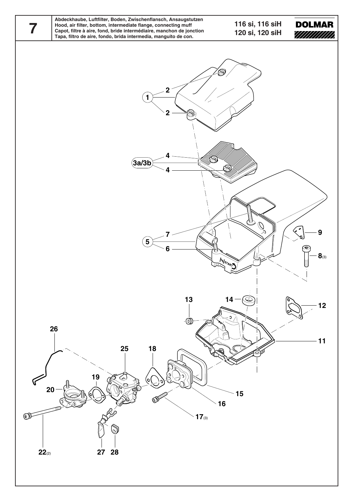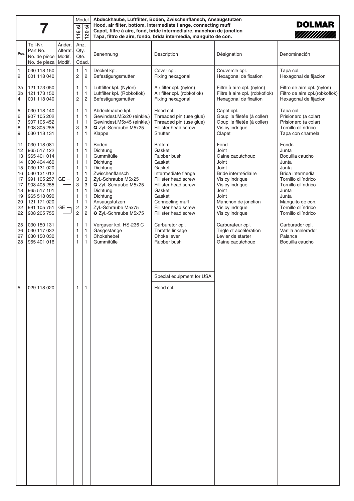|                                                                            |                                                                                                                                                                                                 | Abdeckhaube, Luftfilter, Boden, Zwischenflansch, Ansaugstutzen<br>Model<br><b>DOLMAR</b><br>Hood, air filter, bottom, intermediate flange, connecting muff |                                                                                                                                                                                                                                                                                                                                                                                                                                                                                                                                                                                                                                                           |                                                                                                                                                                           |                                                                                                                                                                                                                     |                                                                                                                                                                                                                          |                                                                                                                                                                                                 |                                                                                                                                                                                                           |
|----------------------------------------------------------------------------|-------------------------------------------------------------------------------------------------------------------------------------------------------------------------------------------------|------------------------------------------------------------------------------------------------------------------------------------------------------------|-----------------------------------------------------------------------------------------------------------------------------------------------------------------------------------------------------------------------------------------------------------------------------------------------------------------------------------------------------------------------------------------------------------------------------------------------------------------------------------------------------------------------------------------------------------------------------------------------------------------------------------------------------------|---------------------------------------------------------------------------------------------------------------------------------------------------------------------------|---------------------------------------------------------------------------------------------------------------------------------------------------------------------------------------------------------------------|--------------------------------------------------------------------------------------------------------------------------------------------------------------------------------------------------------------------------|-------------------------------------------------------------------------------------------------------------------------------------------------------------------------------------------------|-----------------------------------------------------------------------------------------------------------------------------------------------------------------------------------------------------------|
|                                                                            |                                                                                                                                                                                                 |                                                                                                                                                            | $\overline{\overline{\overline{}}\overline{\overline{}}\overline{\overline{}}\overline{\overline{}}\overline{\overline{}}\overline{\overline{}}\overline{\overline{}}\overline{\overline{}}\overline{\overline{}}\overline{\overline{}}\overline{\overline{}}\overline{\overline{}}\overline{\overline{}}\overline{\overline{}}\overline{\overline{}}\overline{\overline{}}\overline{\overline{}}\overline{\overline{}}\overline{\overline{}}\overline{\overline{}}\overline{\overline{}}\overline{\overline{}}\overline{\overline{}}\overline{\overline{}}\overline{\overline{}}\overline{\overline{}}\overline{\overline{}}\$<br><b>.</b><br>116<br>120 |                                                                                                                                                                           |                                                                                                                                                                                                                     | Capot, filtre à aire, fond, bride intermédiaire, manchon de jonction<br>Tapa, filtro de aire, fondo, brida intermedia, manguito de con.                                                                                  |                                                                                                                                                                                                 | ////////////                                                                                                                                                                                              |
| Pos.                                                                       | Teil-Nr.<br>Part No.<br>No. de pièce<br>No. de pieza                                                                                                                                            | Änder.<br>Alterat.<br>Modif.<br>Modif.                                                                                                                     | Anz.<br>Qty.<br>Qté.                                                                                                                                                                                                                                                                                                                                                                                                                                                                                                                                                                                                                                      | Cdad.                                                                                                                                                                     | Benennung                                                                                                                                                                                                           | Description                                                                                                                                                                                                              | Désignation                                                                                                                                                                                     | Denominación                                                                                                                                                                                              |
| $\mathbf{1}$<br>2                                                          | 030 118 150<br>001 118 040                                                                                                                                                                      |                                                                                                                                                            | $\mathbf{1}$<br>2                                                                                                                                                                                                                                                                                                                                                                                                                                                                                                                                                                                                                                         | $\mathbf{1}$<br>$\overline{c}$                                                                                                                                            | Deckel kpl.<br>Befestigungsmutter                                                                                                                                                                                   | Cover cpl.<br>Fixing hexagonal                                                                                                                                                                                           | Couvercle cpl.<br>Hexagonal de fixation                                                                                                                                                         | Tapa cpl.<br>Hexagonal de fijacion                                                                                                                                                                        |
| За<br>3b<br>$\overline{4}$                                                 | 121 173 050<br>121 173 150<br>001 118 040                                                                                                                                                       |                                                                                                                                                            | 1<br>1<br>$\overline{2}$                                                                                                                                                                                                                                                                                                                                                                                                                                                                                                                                                                                                                                  | $\mathbf{1}$<br>$\mathbf{1}$<br>$\overline{2}$                                                                                                                            | Luftfilter kpl. (Nylon)<br>Luftfilter kpl. (Robkoflok)<br>Befestigungsmutter                                                                                                                                        | Air filter cpl. (nylon)<br>Air filter cpl. (robkoflok)<br>Fixing hexagonal                                                                                                                                               | Filtre à aire cpl. (nylon)<br>Filtre à aire cpl. (robkoflok)<br>Hexagonal de fixation                                                                                                           | Filtro de aire cpl. (nylon)<br>Filtro de aire cpl.(robkoflok)<br>Hexagonal de fijacion                                                                                                                    |
| 5<br>6<br>$\overline{\mathcal{I}}$<br>8<br>9                               | 030 118 140<br>907 105 202<br>907 105 452<br>908 305 255<br>030 118 131                                                                                                                         |                                                                                                                                                            | 1<br>1<br>1<br>3<br>$\mathbf{1}$                                                                                                                                                                                                                                                                                                                                                                                                                                                                                                                                                                                                                          | $\mathbf{1}$<br>$\mathbf{1}$<br>$\mathbf{1}$<br>3<br>$\mathbf{1}$                                                                                                         | Abdeckhaube kpl.<br>Gewindest.M5x20 (einkle.)<br>Gewindest.M5x45 (einkle.)<br>2 Zyl.-Schraube M5x25<br>Klappe                                                                                                       | Hood cpl.<br>Threaded pin (use glue)<br>Threaded pin (use glue)<br>Fillister head screw<br>Shutter                                                                                                                       | Capot cpl.<br>Goupille filetée (à coller)<br>Goupille filetée (à coller)<br>Vis cylindrique<br>Clapet                                                                                           | Tapa cpl.<br>Prisionero (a colar)<br>Prisionero (a colar)<br>Tornillo cilíndrico<br>Tapa con charnela                                                                                                     |
| 11<br>12<br>13<br>14<br>15<br>16<br>17<br>17<br>18<br>19<br>20<br>22<br>22 | 030 118 081<br>965 517 122<br>965 401 014<br>030 404 460<br>030 131 020<br>030 131 012<br>991 105 257<br>908 405 255<br>965 517 101<br>965 518 090<br>121 171 020<br>991 105 751<br>908 205 755 | GE -<br>GE -                                                                                                                                               | 1<br>1<br>1<br>1<br>1<br>1<br>3<br>3<br>1<br>1<br>1<br>2<br>2                                                                                                                                                                                                                                                                                                                                                                                                                                                                                                                                                                                             | $\mathbf{1}$<br>$\mathbf{1}$<br>$\mathbf{1}$<br>$\mathbf{1}$<br>$\mathbf{1}$<br>$\mathbf{1}$<br>3<br>3<br>$\mathbf{1}$<br>$\mathbf{1}$<br>$\mathbf{1}$<br>$\sqrt{2}$<br>2 | Boden<br>Dichtung<br>Gummitülle<br>Dichtung<br>Dichtung<br>Zwischenflansch<br>Zyl.-Schraube M5x25<br>2 Zyl.-Schraube M5x25<br>Dichtung<br>Dichtung<br>Ansaugstutzen<br>Zyl.-Schraube M5x75<br>2 Zyl.-Schraube M5x75 | <b>Bottom</b><br>Gasket<br>Rubber bush<br>Gasket<br>Gasket<br>Intermediate flange<br>Fillister head screw<br>Fillister head screw<br>Gasket<br>Gasket<br>Connecting muff<br>Fillister head screw<br>Fillister head screw | Fond<br>Joint<br>Gaine caoutchouc<br>Joint<br>Joint<br>Bride intermédiaire<br>Vis cylindrique<br>Vis cylindrique<br>Joint<br>Joint<br>Manchon de jonction<br>Vis cylindrique<br>Vis cylindrique | Fondo<br>Junta<br>Boquilla caucho<br>Junta<br>Junta<br>Brida intermedia<br>Tornillo cilíndrico<br>Tornillo cilíndrico<br>Junta<br>Junta<br>Manguito de con.<br>Tornillo cilíndrico<br>Tornillo cilíndrico |
| 25<br>26<br>27<br>28                                                       | 030 150 131<br>030 117 032<br>030 150 030<br>965 401 016                                                                                                                                        |                                                                                                                                                            | 1<br>1<br>1<br>1                                                                                                                                                                                                                                                                                                                                                                                                                                                                                                                                                                                                                                          | $\mathbf{1}$<br>$\mathbf{1}$<br>$\mathbf{1}$<br>$\mathbf{1}$                                                                                                              | Vergaser kpl. HS-236 C<br>Gasgestänge<br>Chokehebel<br>Gummitülle                                                                                                                                                   | Carburetor cpl.<br>Throttle linkage<br>Choke lever<br>Rubber bush                                                                                                                                                        | Carburateur cpl.<br>Trigle d'accélération<br>Levier de starter<br>Gaine caoutchouc                                                                                                              | Carburador cpl.<br>Varilla acelerador<br>Palanca<br>Boquilla caucho                                                                                                                                       |
| 5                                                                          | 029 118 020                                                                                                                                                                                     |                                                                                                                                                            | $\mathbf{1}$                                                                                                                                                                                                                                                                                                                                                                                                                                                                                                                                                                                                                                              | 1                                                                                                                                                                         |                                                                                                                                                                                                                     | Special equipment for USA<br>Hood cpl.                                                                                                                                                                                   |                                                                                                                                                                                                 |                                                                                                                                                                                                           |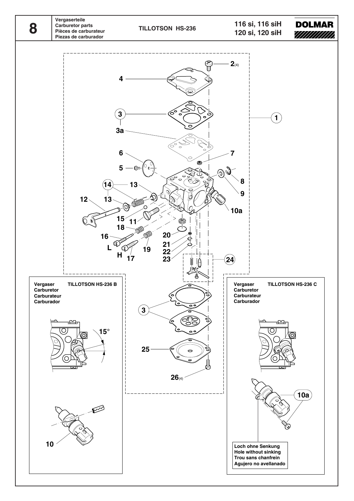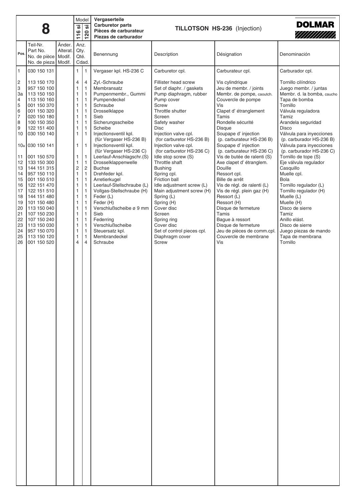|             |                                                                                                                                                                                                                                                                                  | Model                                                                 |                                                                                      |                                                                                                                                                                                                                                                                     |                                                                                                                                                                                                                                                                                                                                                                                                                                                                      |                                                                                                                                                                                                                                                                                                                                                                                                                                        |                                                                                                                                                                                                                                                                                                                                                                                                                                                                             |  |
|-------------|----------------------------------------------------------------------------------------------------------------------------------------------------------------------------------------------------------------------------------------------------------------------------------|-----------------------------------------------------------------------|--------------------------------------------------------------------------------------|---------------------------------------------------------------------------------------------------------------------------------------------------------------------------------------------------------------------------------------------------------------------|----------------------------------------------------------------------------------------------------------------------------------------------------------------------------------------------------------------------------------------------------------------------------------------------------------------------------------------------------------------------------------------------------------------------------------------------------------------------|----------------------------------------------------------------------------------------------------------------------------------------------------------------------------------------------------------------------------------------------------------------------------------------------------------------------------------------------------------------------------------------------------------------------------------------|-----------------------------------------------------------------------------------------------------------------------------------------------------------------------------------------------------------------------------------------------------------------------------------------------------------------------------------------------------------------------------------------------------------------------------------------------------------------------------|--|
| 8           |                                                                                                                                                                                                                                                                                  |                                                                       | <u>'ග</u>                                                                            | Vergaserteile<br><b>Carburetor parts</b>                                                                                                                                                                                                                            |                                                                                                                                                                                                                                                                                                                                                                                                                                                                      |                                                                                                                                                                                                                                                                                                                                                                                                                                        | <b>DOLMAR</b>                                                                                                                                                                                                                                                                                                                                                                                                                                                               |  |
|             |                                                                                                                                                                                                                                                                                  | <b>.</b>                                                              |                                                                                      | Pièces de carburateur                                                                                                                                                                                                                                               |                                                                                                                                                                                                                                                                                                                                                                                                                                                                      | TILLOTSON HS-236 (Injection)<br>////////////                                                                                                                                                                                                                                                                                                                                                                                           |                                                                                                                                                                                                                                                                                                                                                                                                                                                                             |  |
|             |                                                                                                                                                                                                                                                                                  |                                                                       | $\div$                                                                               |                                                                                                                                                                                                                                                                     |                                                                                                                                                                                                                                                                                                                                                                                                                                                                      |                                                                                                                                                                                                                                                                                                                                                                                                                                        |                                                                                                                                                                                                                                                                                                                                                                                                                                                                             |  |
|             |                                                                                                                                                                                                                                                                                  |                                                                       |                                                                                      |                                                                                                                                                                                                                                                                     |                                                                                                                                                                                                                                                                                                                                                                                                                                                                      |                                                                                                                                                                                                                                                                                                                                                                                                                                        |                                                                                                                                                                                                                                                                                                                                                                                                                                                                             |  |
|             |                                                                                                                                                                                                                                                                                  |                                                                       |                                                                                      |                                                                                                                                                                                                                                                                     | Description                                                                                                                                                                                                                                                                                                                                                                                                                                                          |                                                                                                                                                                                                                                                                                                                                                                                                                                        | Denominación                                                                                                                                                                                                                                                                                                                                                                                                                                                                |  |
|             |                                                                                                                                                                                                                                                                                  |                                                                       |                                                                                      |                                                                                                                                                                                                                                                                     |                                                                                                                                                                                                                                                                                                                                                                                                                                                                      |                                                                                                                                                                                                                                                                                                                                                                                                                                        |                                                                                                                                                                                                                                                                                                                                                                                                                                                                             |  |
|             |                                                                                                                                                                                                                                                                                  |                                                                       |                                                                                      |                                                                                                                                                                                                                                                                     |                                                                                                                                                                                                                                                                                                                                                                                                                                                                      |                                                                                                                                                                                                                                                                                                                                                                                                                                        |                                                                                                                                                                                                                                                                                                                                                                                                                                                                             |  |
|             |                                                                                                                                                                                                                                                                                  |                                                                       |                                                                                      |                                                                                                                                                                                                                                                                     |                                                                                                                                                                                                                                                                                                                                                                                                                                                                      |                                                                                                                                                                                                                                                                                                                                                                                                                                        | Carburador cpl.                                                                                                                                                                                                                                                                                                                                                                                                                                                             |  |
| 113 150 170 |                                                                                                                                                                                                                                                                                  | $\overline{4}$                                                        | $\overline{4}$                                                                       |                                                                                                                                                                                                                                                                     | Fillister head screw                                                                                                                                                                                                                                                                                                                                                                                                                                                 |                                                                                                                                                                                                                                                                                                                                                                                                                                        | Tornillo cilíndrico                                                                                                                                                                                                                                                                                                                                                                                                                                                         |  |
| 957 150 100 |                                                                                                                                                                                                                                                                                  | 1                                                                     | $\mathbf{1}$                                                                         | Membransatz                                                                                                                                                                                                                                                         | Set of diaphr. / gaskets                                                                                                                                                                                                                                                                                                                                                                                                                                             | Jeu de membr. / joints                                                                                                                                                                                                                                                                                                                                                                                                                 | Juego membr. / juntas                                                                                                                                                                                                                                                                                                                                                                                                                                                       |  |
| 113 150 150 |                                                                                                                                                                                                                                                                                  | 1                                                                     | $\mathbf{1}$                                                                         |                                                                                                                                                                                                                                                                     |                                                                                                                                                                                                                                                                                                                                                                                                                                                                      |                                                                                                                                                                                                                                                                                                                                                                                                                                        | Membr. d. la bomba, caucho                                                                                                                                                                                                                                                                                                                                                                                                                                                  |  |
|             |                                                                                                                                                                                                                                                                                  |                                                                       |                                                                                      |                                                                                                                                                                                                                                                                     |                                                                                                                                                                                                                                                                                                                                                                                                                                                                      |                                                                                                                                                                                                                                                                                                                                                                                                                                        | Tapa de bomba                                                                                                                                                                                                                                                                                                                                                                                                                                                               |  |
|             |                                                                                                                                                                                                                                                                                  |                                                                       |                                                                                      |                                                                                                                                                                                                                                                                     |                                                                                                                                                                                                                                                                                                                                                                                                                                                                      |                                                                                                                                                                                                                                                                                                                                                                                                                                        | Tornillo<br>Válvula reguladora                                                                                                                                                                                                                                                                                                                                                                                                                                              |  |
|             |                                                                                                                                                                                                                                                                                  |                                                                       |                                                                                      |                                                                                                                                                                                                                                                                     |                                                                                                                                                                                                                                                                                                                                                                                                                                                                      | Tamis                                                                                                                                                                                                                                                                                                                                                                                                                                  | Tamiz                                                                                                                                                                                                                                                                                                                                                                                                                                                                       |  |
| 100 150 350 |                                                                                                                                                                                                                                                                                  | 1                                                                     | $\mathbf{1}$                                                                         | Sicherungsscheibe                                                                                                                                                                                                                                                   | Safety washer                                                                                                                                                                                                                                                                                                                                                                                                                                                        | Rondelle sécurité                                                                                                                                                                                                                                                                                                                                                                                                                      | Arandela seguridad                                                                                                                                                                                                                                                                                                                                                                                                                                                          |  |
| 122 151 400 |                                                                                                                                                                                                                                                                                  | 1                                                                     | $\mathbf{1}$                                                                         | Scheibe                                                                                                                                                                                                                                                             | <b>Disc</b>                                                                                                                                                                                                                                                                                                                                                                                                                                                          | <b>Disque</b>                                                                                                                                                                                                                                                                                                                                                                                                                          | <b>Disco</b>                                                                                                                                                                                                                                                                                                                                                                                                                                                                |  |
|             |                                                                                                                                                                                                                                                                                  | 1                                                                     | $\mathbf{1}$                                                                         |                                                                                                                                                                                                                                                                     |                                                                                                                                                                                                                                                                                                                                                                                                                                                                      |                                                                                                                                                                                                                                                                                                                                                                                                                                        | Válvula para inyecciones                                                                                                                                                                                                                                                                                                                                                                                                                                                    |  |
|             |                                                                                                                                                                                                                                                                                  |                                                                       |                                                                                      |                                                                                                                                                                                                                                                                     |                                                                                                                                                                                                                                                                                                                                                                                                                                                                      |                                                                                                                                                                                                                                                                                                                                                                                                                                        | (p. carburador HS-236 B)                                                                                                                                                                                                                                                                                                                                                                                                                                                    |  |
|             |                                                                                                                                                                                                                                                                                  |                                                                       |                                                                                      |                                                                                                                                                                                                                                                                     |                                                                                                                                                                                                                                                                                                                                                                                                                                                                      |                                                                                                                                                                                                                                                                                                                                                                                                                                        | Válvula para inyecciones<br>(p. carburador HS-236 C)                                                                                                                                                                                                                                                                                                                                                                                                                        |  |
| 001 150 570 |                                                                                                                                                                                                                                                                                  | 1                                                                     | $\mathbf{1}$                                                                         |                                                                                                                                                                                                                                                                     |                                                                                                                                                                                                                                                                                                                                                                                                                                                                      |                                                                                                                                                                                                                                                                                                                                                                                                                                        | Tornillo de tope (S)                                                                                                                                                                                                                                                                                                                                                                                                                                                        |  |
| 133 150 300 |                                                                                                                                                                                                                                                                                  | 1                                                                     | $\mathbf{1}$                                                                         | Drosselklappenwelle                                                                                                                                                                                                                                                 | Throttle shaft                                                                                                                                                                                                                                                                                                                                                                                                                                                       | Axe clapet d'étranglem.                                                                                                                                                                                                                                                                                                                                                                                                                | Eje válvula regulador                                                                                                                                                                                                                                                                                                                                                                                                                                                       |  |
| 144 151 315 |                                                                                                                                                                                                                                                                                  | 2                                                                     | $\overline{c}$                                                                       | <b>Buchse</b>                                                                                                                                                                                                                                                       | <b>Bushing</b>                                                                                                                                                                                                                                                                                                                                                                                                                                                       | Douille                                                                                                                                                                                                                                                                                                                                                                                                                                | Casquillo                                                                                                                                                                                                                                                                                                                                                                                                                                                                   |  |
|             |                                                                                                                                                                                                                                                                                  |                                                                       |                                                                                      |                                                                                                                                                                                                                                                                     |                                                                                                                                                                                                                                                                                                                                                                                                                                                                      |                                                                                                                                                                                                                                                                                                                                                                                                                                        | Muelle cpl.                                                                                                                                                                                                                                                                                                                                                                                                                                                                 |  |
|             |                                                                                                                                                                                                                                                                                  |                                                                       |                                                                                      |                                                                                                                                                                                                                                                                     |                                                                                                                                                                                                                                                                                                                                                                                                                                                                      |                                                                                                                                                                                                                                                                                                                                                                                                                                        | <b>Bola</b><br>Tornillo regulador (L)                                                                                                                                                                                                                                                                                                                                                                                                                                       |  |
|             |                                                                                                                                                                                                                                                                                  |                                                                       |                                                                                      |                                                                                                                                                                                                                                                                     |                                                                                                                                                                                                                                                                                                                                                                                                                                                                      |                                                                                                                                                                                                                                                                                                                                                                                                                                        | Tornillo regulador (H)                                                                                                                                                                                                                                                                                                                                                                                                                                                      |  |
|             |                                                                                                                                                                                                                                                                                  | 1                                                                     | $\mathbf{1}$                                                                         |                                                                                                                                                                                                                                                                     |                                                                                                                                                                                                                                                                                                                                                                                                                                                                      |                                                                                                                                                                                                                                                                                                                                                                                                                                        | Muelle (L)                                                                                                                                                                                                                                                                                                                                                                                                                                                                  |  |
| 101 150 480 |                                                                                                                                                                                                                                                                                  | 1                                                                     | $\mathbf{1}$                                                                         | Feder (H)                                                                                                                                                                                                                                                           | Spring (H)                                                                                                                                                                                                                                                                                                                                                                                                                                                           | Ressort (H)                                                                                                                                                                                                                                                                                                                                                                                                                            | Muelle (H)                                                                                                                                                                                                                                                                                                                                                                                                                                                                  |  |
| 113 150 040 |                                                                                                                                                                                                                                                                                  | 1                                                                     | $\mathbf{1}$                                                                         | Verschlußscheibe ø 9 mm                                                                                                                                                                                                                                             | Cover disc                                                                                                                                                                                                                                                                                                                                                                                                                                                           | Disque de fermeture                                                                                                                                                                                                                                                                                                                                                                                                                    | Disco de sierre                                                                                                                                                                                                                                                                                                                                                                                                                                                             |  |
|             |                                                                                                                                                                                                                                                                                  |                                                                       |                                                                                      |                                                                                                                                                                                                                                                                     |                                                                                                                                                                                                                                                                                                                                                                                                                                                                      |                                                                                                                                                                                                                                                                                                                                                                                                                                        | Tamiz                                                                                                                                                                                                                                                                                                                                                                                                                                                                       |  |
|             |                                                                                                                                                                                                                                                                                  |                                                                       |                                                                                      |                                                                                                                                                                                                                                                                     |                                                                                                                                                                                                                                                                                                                                                                                                                                                                      |                                                                                                                                                                                                                                                                                                                                                                                                                                        | Anillo elást.<br>Disco de sierre                                                                                                                                                                                                                                                                                                                                                                                                                                            |  |
|             |                                                                                                                                                                                                                                                                                  |                                                                       |                                                                                      |                                                                                                                                                                                                                                                                     |                                                                                                                                                                                                                                                                                                                                                                                                                                                                      |                                                                                                                                                                                                                                                                                                                                                                                                                                        | Juego piezas de mando                                                                                                                                                                                                                                                                                                                                                                                                                                                       |  |
| 113 150 120 |                                                                                                                                                                                                                                                                                  | 1                                                                     | $\mathbf{1}$                                                                         | Membrandeckel                                                                                                                                                                                                                                                       |                                                                                                                                                                                                                                                                                                                                                                                                                                                                      | Couvercle de membrane                                                                                                                                                                                                                                                                                                                                                                                                                  | Tapa de membrana                                                                                                                                                                                                                                                                                                                                                                                                                                                            |  |
| 001 150 520 |                                                                                                                                                                                                                                                                                  | $\overline{4}$                                                        | $\overline{4}$                                                                       | Schraube                                                                                                                                                                                                                                                            | <b>Screw</b>                                                                                                                                                                                                                                                                                                                                                                                                                                                         | Vis                                                                                                                                                                                                                                                                                                                                                                                                                                    | Tornillo                                                                                                                                                                                                                                                                                                                                                                                                                                                                    |  |
|             |                                                                                                                                                                                                                                                                                  |                                                                       |                                                                                      |                                                                                                                                                                                                                                                                     |                                                                                                                                                                                                                                                                                                                                                                                                                                                                      |                                                                                                                                                                                                                                                                                                                                                                                                                                        |                                                                                                                                                                                                                                                                                                                                                                                                                                                                             |  |
|             | Teil-Nr.<br>Part No.<br>Pos.<br>030 150 131<br>113 150 160<br>001 150 370<br>001 150 320<br>020 150 180<br>030 150 140<br>10a 030 150 141<br>957 150 110<br>001 150 510<br>122 151 470<br>122 151 510<br>144 151 480<br>107 150 230<br>107 150 240<br>113 150 030<br>957 150 070 | Änder.<br>Alterat.<br>No. de pièce<br>Modif.<br>No. de pieza   Modif. | 116<br>$\mathbf{1}$<br>1<br>1<br>1<br>1<br>1<br>1<br>1<br>1<br>1<br>1<br>1<br>1<br>1 | 20<br>Anz.<br>Qty.<br>Qté.<br>Cdad.<br>$\mathbf{1}$<br>$\mathbf{1}$<br>$\mathbf{1}$<br>$\mathbf{1}$<br>$\mathbf{1}$<br>$\mathbf{1}$<br>$\mathbf{1}$<br>$\mathbf{1}$<br>$\mathbf{1}$<br>$\mathbf{1}$<br>$\mathbf{1}$<br>$\mathbf{1}$<br>$\mathbf{1}$<br>$\mathbf{1}$ | Piezas de carburador<br>Benennung<br>Vergaser kpl. HS-236 C<br>Zyl.-Schraube<br>Pumpenmembr., Gummi<br>Pumpendeckel<br>Schraube<br>Drosselklappe<br>Sieb<br>Injectionsventil kpl.<br>(für Vergaser HS-236 B)<br>Injectionsventil kpl.<br>(für Vergaser HS-236 C)<br>Leerlauf-Anschlagschr.(S)<br>Drehfeder kpl.<br>Arretierkugel<br>Leerlauf-Stellschraube (L)<br>Vollgas-Stellschraube (H)<br>Feder (L)<br>Sieb<br>Federring<br>Verschlußscheibe<br>Steuersatz kpl. | Carburetor cpl.<br>Pump diaphragm, rubber<br>Pump cover<br><b>Screw</b><br>Throttle shutter<br>Screen<br>Injection valve cpl.<br>(for carburetor HS-236 B)<br>Injection valve cpl.<br>(for carburetor HS-236 C)<br>Idle stop screw (S)<br>Spring cpl.<br>Friction ball<br>Idle adjustment screw (L)<br>Main adjustment screw (H)<br>Spring (L)<br>Screen<br>Spring ring<br>Cover disc<br>Set of control pieces cpl.<br>Diaphragm cover | Désignation<br>Carburateur cpl.<br>Vis cylindrique<br>Membr. de pompe, caoutch.<br>Couvercle de pompe<br>Vis<br>Clapet d'étranglement<br>Soupape d'injection<br>(p. carburateur HS-236 B)<br>Soupape d'injection<br>(p. carburateur HS-236 C)<br>Vis de butée de ralenti (S)<br>Ressort cpl.<br>Bille de arrêt<br>Vis de régl. de ralenti (L)<br>Vis de régl. plein gaz (H)<br>Ressort (L)<br>Tamis<br>Bague à ressort<br>Disque de fermeture<br>Jeu de pièces de comm.cpl. |  |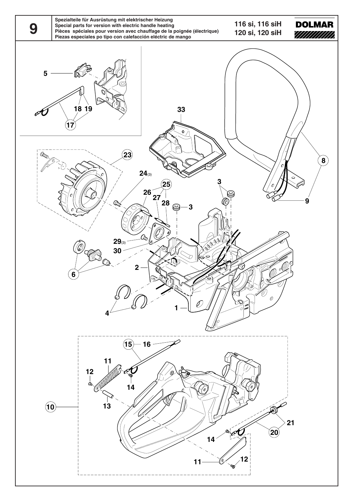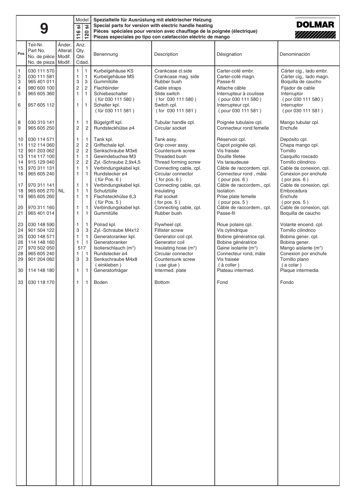|                                                                                                                                                                                                                                                                                                                                                                                                                                                              | Model<br><b>.</b><br><u>'ග</u><br>$\bullet$<br>20<br>$\tilde{z}$<br>$\blacksquare$                                                                                                                                                                                                                                                                                                                                                                                                                      | Spezialteile für Ausrüstung mit elektrischer Heizung<br><b>DOLMAR</b><br>Special parts for version with electric handle heating<br>Pièces spéciales pour version avec chauffage de la poignée (électrique)<br>////////////<br>Piezas especiales po tipo con calefacción eléctric de mango                                                                                                                                                                                                |                                                                                                                                                                                                                                                                                                                                                                                                                                                                                          |                                                                                                                                                                                                                                                                                                                                                                                                                                                                                                    |                                                                                                                                                                                                                                                                                                                                                                                                                                                                                        |
|--------------------------------------------------------------------------------------------------------------------------------------------------------------------------------------------------------------------------------------------------------------------------------------------------------------------------------------------------------------------------------------------------------------------------------------------------------------|---------------------------------------------------------------------------------------------------------------------------------------------------------------------------------------------------------------------------------------------------------------------------------------------------------------------------------------------------------------------------------------------------------------------------------------------------------------------------------------------------------|------------------------------------------------------------------------------------------------------------------------------------------------------------------------------------------------------------------------------------------------------------------------------------------------------------------------------------------------------------------------------------------------------------------------------------------------------------------------------------------|------------------------------------------------------------------------------------------------------------------------------------------------------------------------------------------------------------------------------------------------------------------------------------------------------------------------------------------------------------------------------------------------------------------------------------------------------------------------------------------|----------------------------------------------------------------------------------------------------------------------------------------------------------------------------------------------------------------------------------------------------------------------------------------------------------------------------------------------------------------------------------------------------------------------------------------------------------------------------------------------------|----------------------------------------------------------------------------------------------------------------------------------------------------------------------------------------------------------------------------------------------------------------------------------------------------------------------------------------------------------------------------------------------------------------------------------------------------------------------------------------|
| Änder.<br>Teil-Nr.<br>Part No.<br>Alterat.<br>Pos.<br>Modif.<br>No. de pièce<br>No. de pieza   Modif.                                                                                                                                                                                                                                                                                                                                                        | Anz.<br>Qty.<br>Qté.<br>Cdad.                                                                                                                                                                                                                                                                                                                                                                                                                                                                           | Benennung                                                                                                                                                                                                                                                                                                                                                                                                                                                                                | Description                                                                                                                                                                                                                                                                                                                                                                                                                                                                              | Désignation                                                                                                                                                                                                                                                                                                                                                                                                                                                                                        | Denominación                                                                                                                                                                                                                                                                                                                                                                                                                                                                           |
| $\mathbf{1}$<br>030 111 570<br>$\frac{2}{3}$<br>030 111 581<br>965 401 011<br>$\overline{4}$<br>980 600 100<br>5<br>965 605 360<br>6<br>957 605 112                                                                                                                                                                                                                                                                                                          | $\overline{1}$<br>1<br>$\mathbf{1}$<br>1<br>$\mathbf{3}$<br>3<br>$\overline{c}$<br>$\overline{\mathbf{c}}$<br>$\mathbf{1}$<br>$\mathbf{1}$<br>$\mathbf{1}$<br>1                                                                                                                                                                                                                                                                                                                                         | Kurbelgehäuse KS<br>Kurbelgehäuse MS<br>Gummitülle<br>Flachbinder<br>Schiebeschalter<br>(für 030 111 580)<br>Schalter kpl.<br>(für 030 111 581)                                                                                                                                                                                                                                                                                                                                          | Crankcase cl.side<br>Crankcase mag. side<br>Rubber bush<br>Cable straps<br>Slide switch<br>(for 030 111 580)<br>Switch cpl.<br>(for 030 111 581)                                                                                                                                                                                                                                                                                                                                         | Carter-coté embr.<br>Carter-coté magn.<br>Passe-fil<br>Attache câble<br>Interrupteur à coulisse<br>(pour 030 111 580)<br>Interrupteur cpl.<br>(pour 030 111 581)                                                                                                                                                                                                                                                                                                                                   | Cárter cig., lado embr.<br>Cárter cig,. lado magn.<br>Boquilla de caucho<br>Fijador de cable<br>Interruptor<br>(por 030 111 580)<br>Interruptor<br>(por 030 111 581)                                                                                                                                                                                                                                                                                                                   |
| 8<br>030 310 141<br>9<br>965 605 250                                                                                                                                                                                                                                                                                                                                                                                                                         | 1<br>$\mathbf{1}$<br>2<br>$\overline{2}$                                                                                                                                                                                                                                                                                                                                                                                                                                                                | Bügelgriff kpl.<br>Rundsteckhülse ø4                                                                                                                                                                                                                                                                                                                                                                                                                                                     | Tubular handle cpl.<br>Circular socket                                                                                                                                                                                                                                                                                                                                                                                                                                                   | Poignée tubulaire cpl.<br>Connecteur rond femelle                                                                                                                                                                                                                                                                                                                                                                                                                                                  | Mango tubular cpl.<br>Enchufe                                                                                                                                                                                                                                                                                                                                                                                                                                                          |
| 030 114 571<br>10<br>11<br>112 114 060<br>12<br>901 203 062<br>13<br>114 117 100<br>915 129 040<br>14<br>15<br>970 311 131<br>16<br>965 605 240<br>17<br>970 311 141<br>965 605 270   NL<br>18<br>19<br>965 605 260<br>20<br>970 311 160<br>21<br>965 401 014<br>030 148 590<br>23<br>24<br>901 504 122<br>25<br>030 148 571<br>26<br>114 148 160<br>27<br>970 502 050<br>28<br>965 605 240<br>29<br>901 204 082<br>30<br>114 148 180<br>33<br>  030 118 170 | 1<br>$\mathbf{1}$<br>$\overline{\mathbf{c}}$<br>$\overline{c}$<br>$\overline{c}$<br>$\overline{c}$<br>$\mathbf{1}$<br>$\mathbf{1}$<br>2<br>$\overline{c}$<br>$\mathbf{1}$<br>$\mathbf{1}$<br>1<br>$\mathbf{1}$<br>$\mathbf{1}$<br>$\mathbf{1}$<br>$\mathbf{1}$<br>$\mathbf{1}$<br>$\mathbf{1}$<br>$\mathbf{1}$<br>1<br>1<br>1<br>$\mathbf{1}$<br>$\mathbf{1}$<br>$\overline{1}$<br>3<br>3<br>$\mathbf{1}$<br>$\mathbf{1}$<br>$\overline{1}$<br>1<br>517<br>$\overline{1}$<br>1<br>3<br>3<br>1<br>1<br>1 | Tank kpl.<br>Griffschale kpl.<br>Senkschraube M3x6<br>Gewindebuchse M3<br>Zyl.-Schraube 2,9x4,5<br>Verbindungskabel kpl.<br>Rundstecker ø4<br>$(iiir$ Pos. $6)$<br>Verbindungskabel kpl.<br>Schutztülle<br>Flachsteckhülse 6,3<br>$(iiir$ Pos. 5)<br>Verbindungskabel kpl.<br>Gummitülle<br>Polrad kpl.<br>Zyl.-Schraube M4x12<br>Generatoranker kpl.<br>Generatoranker<br>Isolierschlauch (m*)<br>Rundstecker ø4<br>Senkschraube M4x8<br>(einkleben)<br>Generatorträger<br><b>Boden</b> | Tank assy.<br>Grip cover assy.<br>Countersunk screw<br>Threaded bush<br>Thread forming screw<br>Connecting cable, cpl.<br>Circular connector<br>$($ for pos. $6)$<br>Connecting cable, cpl.<br>Insulating<br>Flat socket<br>$($ for pos. $5)$<br>Connecting cable, cpl.<br>Rubber bush<br>Flywheel cpl.<br>Fillister screw<br>Generator coil cpl.<br>Generator coil<br>Insulating hose (m*)<br>Circular connector<br>Countersunk screw<br>(use glue)<br>Intermed. plate<br><b>Bottom</b> | Réservoir cpl.<br>Capot poignée cpl.<br>Vis fraisée<br>Douille filetée<br>Vis taraudeuse<br>Câble de raccordem, cpl.<br>Connecteur rond, mâle<br>(pour pos. 6)<br>Câble de raccordem., cpl.<br>Isolation<br>Prise plate femelle<br>$($ pour pos. $5)$<br>Câble de raccordem., cpl.<br>Passe-fil<br>Roue polaire cpl.<br>Vis cylindrique<br>Bobine génératrice cpl.<br>Bobine génératrice<br>Gaine isolante (m*)<br>Connecteur rond, mâle<br>Vis fraisée<br>(à coller)<br>Plateau intermed.<br>Fond | Depósito cpl.<br>Chapa mango cpl.<br>Tornillo<br>Casquillo roscado<br>Tornillo cilindrico<br>Cable de conexion, cpl.<br>Conexion por enchufe<br>( por pos. 6 )<br>Cable de conexion, cpl.<br>Embocadura<br>Enchufe<br>( por pos. 5)<br>Cable de conexion, cpl.<br>Boquilla de caucho<br>Volante encend. cpl.<br>Tornillo cilindrico<br>Bobina gener. cpl.<br>Bobina gener.<br>Mango aislante (m*)<br>Conexion por enchufe<br>Tornillo plano<br>(a colar)<br>Plaque intermedia<br>Fondo |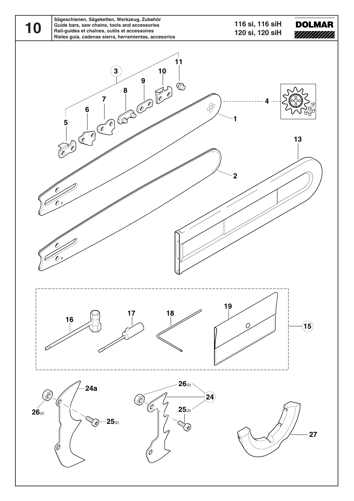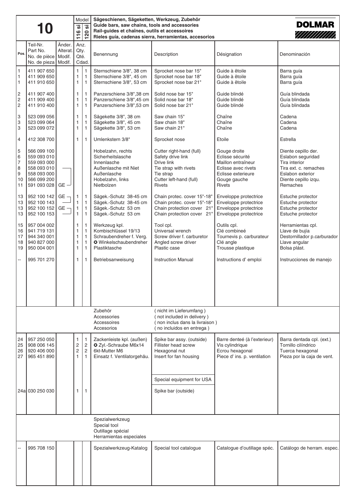|                                                | 10                                                                                                    |                              | <b>.</b><br>116                                   | Model<br><u>'ග</u><br>120                                                    | Sägeschienen, Sägeketten, Werkzeug, Zubehör<br><b>DOLMAR</b><br>Guide bars, saw chains, tools and accessories<br>Rail-guides et chaînes, outils et accessoires<br>////////////<br>Rieles guía, cadenas sierra, herramientas, accesorios |                                                                                                                                               |                                                                                                                                      |                                                                                                                                            |
|------------------------------------------------|-------------------------------------------------------------------------------------------------------|------------------------------|---------------------------------------------------|------------------------------------------------------------------------------|-----------------------------------------------------------------------------------------------------------------------------------------------------------------------------------------------------------------------------------------|-----------------------------------------------------------------------------------------------------------------------------------------------|--------------------------------------------------------------------------------------------------------------------------------------|--------------------------------------------------------------------------------------------------------------------------------------------|
| Pos.                                           | Teil-Nr.<br>Part No.<br>No. de pièce<br>No. de pieza   Modif.                                         | Änder.<br>Alterat.<br>Modif. | Anz.<br>Qty.<br>Qté.                              | Cdad.                                                                        | Benennung                                                                                                                                                                                                                               | Description                                                                                                                                   | Désignation                                                                                                                          | Denominación                                                                                                                               |
| $\mathbf{1}$<br>1<br>$\mathbf{1}$              | 411 907 650<br>411 909 650<br>411 910 650                                                             |                              | $\mathbf{1}$<br>1<br>1                            | $\mathbf{1}$<br>$\mathbf{1}$<br>$\mathbf{1}$                                 | Sternschiene 3/8", 38 cm<br>Sternschiene 3/8", 45 cm<br>Sternschiene 3/8", 53 cm                                                                                                                                                        | Sprocket nose bar 15"<br>Sprocket nose bar 18"<br>Sprocket nose bar 21"                                                                       | Guide à êtoile<br>Guide à êtoile<br>Guide à êtoile                                                                                   | Barra guía<br>Barra guía<br>Barra guía                                                                                                     |
| 2<br>$\overline{\mathbf{c}}$<br>$\overline{c}$ | 411 907 400<br>411 909 400<br>411 910 400                                                             |                              | $\mathbf{1}$<br>1<br>1                            | $\mathbf{1}$<br>$\mathbf{1}$<br>$\mathbf{1}$                                 | Panzerschiene 3/8",38 cm<br>Panzerschiene 3/8",45 cm<br>Panzerschiene 3/8",53 cm                                                                                                                                                        | Solid nose bar 15"<br>Solid nose bar 18"<br>Solid nose bar 21"                                                                                | Guide blindé<br>Guide blindé<br>Guide blindé                                                                                         | Guía blindada<br>Guía blindada<br>Guía blindada                                                                                            |
| 3<br>3<br>3                                    | 523 099 056<br>523 099 064<br>523 099 072                                                             |                              | 1<br>1<br>$\mathbf{1}$                            | $\mathbf{1}$<br>$\mathbf{1}$<br>$\mathbf{1}$                                 | Sägekette 3/8", 38 cm<br>Sägekette 3/8", 45 cm<br>Sägekette 3/8", 53 cm                                                                                                                                                                 | Saw chain 15"<br>Saw chain 18"<br>Saw chain 21"                                                                                               | Chaîne<br>Chaîne<br>Chaîne                                                                                                           | Cadena<br>Cadena<br>Cadena                                                                                                                 |
| $\overline{4}$                                 | 412 308 700                                                                                           |                              | $\mathbf{1}$                                      | $\mathbf{1}$                                                                 | Umlenkstern 3/8"                                                                                                                                                                                                                        | Sprocket nose                                                                                                                                 | Etoile                                                                                                                               | Estrella                                                                                                                                   |
| 5<br>6<br>7<br>8<br>9<br>10<br>11              | 566 099 100<br>559 093 010<br>559 093 000<br>558 093 010<br>558 093 000<br>566 099 200<br>591 093 028 | $GE -$                       |                                                   |                                                                              | Hobelzahn, rechts<br>Sicherheitslasche<br>Innenlasche<br>Außenlasche mit Niet<br>Außenlasche<br>Hobelzahn, links<br>Nietbolzen                                                                                                          | Cutter right-hand (full)<br>Safety drive link<br>Drive link<br>Tie strap with rivets<br>Tie strap<br>Cutter left-hand (full)<br><b>Rivets</b> | Gouge droite<br>Eclisse sécurité<br>Maillon entraîneur<br>Eclisse avec rivets<br>Eclisse exterieure<br>Gouge gauche<br><b>Rivets</b> | Diente cepillo der.<br>Eslabon seguridad<br>Tira interior<br>Tira ext. c. remaches<br>Eslabon exterior<br>Diente cepillo izqu.<br>Remaches |
| 13<br>13<br>13<br>13                           | 952 100 142<br>952 100 143<br>952 100 152<br>952 100 153                                              | $GE -$<br>$GE -$             | 1<br>$\mathbf{1}$<br>$\mathbf{1}$<br>$\mathbf{1}$ | $\mathbf{1}$<br>$\mathbf{1}$<br>$\mathbf{1}$<br>$\mathbf{1}$                 | Sägek.-Schutz 38-45 cm<br>Sägek.-Schutz 38-45 cm<br>Sägek.-Schutz 53 cm<br>Sägek.-Schutz 53 cm                                                                                                                                          | Chain protec. cover 15"-18"<br>Chain protec. cover 15"-18"<br>Chain protection cover 21"<br>Chain protection cover 21"                        | Enveloppe protectrice<br>Enveloppe protectrice<br>Enveloppe protectrice<br>Enveloppe protectrice                                     | Estuche protector<br>Estuche protector<br>Estuche protector<br>Estuche protector                                                           |
| 15<br>16<br>17<br>18<br>19                     | 957 004 002<br>941 719 131<br>944 340 001<br>940 827 000<br>950 004 001                               |                              | 1<br>1<br>1<br>1<br>1                             | $\mathbf{1}$<br>$\mathbf{1}$<br>$\mathbf{1}$<br>$\mathbf{1}$<br>$\mathbf{1}$ | Werkzeug kpl.<br>Kombischlüssel 19/13<br>Schraubendreher f. Verg.<br>O Winkelschaubendreher<br>Plastiktasche                                                                                                                            | Tool cpl.<br>Universal wrench<br>Screw driver f. carburetor<br>Angled screw driver<br>Plastic case                                            | Outils cpl.<br>Clé combineé<br>Tournevis p. carburateur<br>Clé angle<br>Trousse plastique                                            | Herramientas cpl.<br>Llave de bujía<br>Destornillador p.carburador<br>Llave angular<br>Bolsa plást.                                        |
| --                                             | 995 701 270                                                                                           |                              | $\mathbf{1}$                                      | $\mathbf{1}$                                                                 | Betriebsanweisung                                                                                                                                                                                                                       | <b>Instruction Manual</b>                                                                                                                     | Instructions d'emploi                                                                                                                | Instrucciones de manejo                                                                                                                    |
|                                                |                                                                                                       |                              |                                                   |                                                                              | Zubehör<br>Accessories<br>Accessoires<br>Accesorios                                                                                                                                                                                     | nicht im Lieferumfang)<br>not included in delivery)<br>non inclus dans la livraison)<br>no incluidos en entrega)                              |                                                                                                                                      |                                                                                                                                            |
| 24<br>25<br>26<br>27                           | 957 250 050<br>908 006 145<br>920 406 000<br>965 451 890                                              |                              | 1<br>2<br>$\overline{c}$<br>1                     | $\mathbf{1}$<br>$\overline{c}$<br>$\overline{2}$<br>$\mathbf{1}$             | Zackenleiste kpl. (außen)<br>O Zyl.-Schraube M6x14<br>6kt-Mutter M6<br>Einsatz f. Ventilatorgehäu.                                                                                                                                      | Spike bar assy. (outside)<br>Fillister head screw<br>Hexagonal nut<br>Insert for fan housing                                                  | Barre denteé (à l'exterieur)<br>Vis cylindrique<br>Ecrou hexagonal<br>Piece d' ins. p. ventilation                                   | Barra dentada cpl. (ext.)<br>Tornillo cilíndrico<br>Tuerca hexagonal<br>Pieza por la caja de vent.                                         |
|                                                |                                                                                                       |                              |                                                   |                                                                              |                                                                                                                                                                                                                                         | Special equipment for USA                                                                                                                     |                                                                                                                                      |                                                                                                                                            |
|                                                | 24a 030 250 030                                                                                       |                              | 1                                                 | 1                                                                            |                                                                                                                                                                                                                                         | Spike bar (outside)                                                                                                                           |                                                                                                                                      |                                                                                                                                            |
|                                                |                                                                                                       |                              |                                                   |                                                                              | Spezialwerkzeug<br>Special tool<br>Outillage spécial<br>Herramientas especiales                                                                                                                                                         |                                                                                                                                               |                                                                                                                                      |                                                                                                                                            |
|                                                | 995 708 150                                                                                           |                              |                                                   |                                                                              | Spezialwerkzeug-Katalog                                                                                                                                                                                                                 | Special tool catalogue                                                                                                                        | Catalogue d'outillage spéc.                                                                                                          | Catálogo de herram. espec.                                                                                                                 |